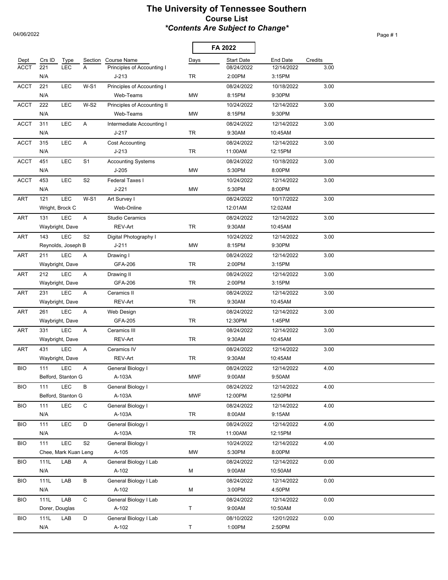## **The University of Tennessee Southern Course List** *\*Contents Are Subject to Change\**

 $\overline{a}$ 

Page # 1

04/06/2022

|                     |               |                           |                |                                           |            | FA 2022                         |                        |                 |  |
|---------------------|---------------|---------------------------|----------------|-------------------------------------------|------------|---------------------------------|------------------------|-----------------|--|
| Dept<br><b>ACCT</b> | Crs ID<br>221 | Type<br><b>LEC</b>        | Section<br>A   | Course Name<br>Principles of Accounting I | Days       | <b>Start Date</b><br>08/24/2022 | End Date<br>12/14/2022 | Credits<br>3.00 |  |
|                     | N/A           |                           |                | $J-213$                                   | TR         | 2:00PM                          | 3:15PM                 |                 |  |
| <b>ACCT</b>         | 221           | <b>LEC</b>                | $W-S1$         | Principles of Accounting I                |            | 08/24/2022                      | 10/18/2022             | 3.00            |  |
|                     | N/A           |                           |                | Web-Teams                                 | <b>MW</b>  | 8:15PM                          | 9:30PM                 |                 |  |
| <b>ACCT</b>         | 222           | <b>LEC</b>                | $W-S2$         | Principles of Accounting II               |            | 10/24/2022                      | 12/14/2022             | 3.00            |  |
|                     | N/A           |                           |                | Web-Teams                                 | <b>MW</b>  | 8:15PM                          | 9:30PM                 |                 |  |
| <b>ACCT</b>         | 311           | LEC                       | Α              | Intermediate Accounting I                 |            | 08/24/2022                      | 12/14/2022             | 3.00            |  |
|                     | N/A           |                           |                | $J-217$                                   | <b>TR</b>  | 9:30AM                          | 10:45AM                |                 |  |
| <b>ACCT</b>         | 315           | <b>LEC</b>                | A              | Cost Accounting                           |            | 08/24/2022                      | 12/14/2022             | 3.00            |  |
|                     | N/A           |                           |                | $J-213$                                   | TR         | 11:00AM                         | 12:15PM                |                 |  |
| <b>ACCT</b>         | 451           | LEC                       | S <sub>1</sub> | <b>Accounting Systems</b>                 |            | 08/24/2022                      | 10/18/2022             | 3.00            |  |
|                     | N/A           |                           |                | $J-205$                                   | MW         | 5:30PM                          | 8:00PM                 |                 |  |
| <b>ACCT</b>         | 453           | <b>LEC</b>                | S <sub>2</sub> | Federal Taxes I                           |            | 10/24/2022                      | 12/14/2022             | 3.00            |  |
|                     | N/A           |                           |                | $J-221$                                   | MW         | 5:30PM                          | 8:00PM                 |                 |  |
| <b>ART</b>          | 121           | LEC                       | $W-S1$         | Art Survey I                              |            | 08/24/2022                      | 10/17/2022             | 3.00            |  |
|                     |               | Wright, Brock C           |                | Web-Online                                |            | 12:01AM                         | 12:02AM                |                 |  |
| ART                 | 131           | LEC                       | A              | <b>Studio Ceramics</b>                    |            | 08/24/2022                      | 12/14/2022             | 3.00            |  |
|                     |               | Waybright, Dave           |                | REV-Art                                   | TR         | 9:30AM                          | 10:45AM                |                 |  |
| <b>ART</b>          | 143           | <b>LEC</b>                | S <sub>2</sub> | Digital Photography I                     |            | 10/24/2022                      | 12/14/2022             | 3.00            |  |
|                     |               | Reynolds, Joseph B        |                | $J - 211$                                 | <b>MW</b>  | 8:15PM                          | 9:30PM                 |                 |  |
| <b>ART</b>          | 211           | LEC                       | A              | Drawing I                                 |            | 08/24/2022                      | 12/14/2022             | 3.00            |  |
|                     |               | Waybright, Dave           |                | GFA-206                                   | <b>TR</b>  | 2:00PM                          | 3:15PM                 |                 |  |
| <b>ART</b>          | 212           | LEC                       | A              | Drawing II                                |            | 08/24/2022                      | 12/14/2022             | 3.00            |  |
|                     |               | Waybright, Dave           |                | GFA-206                                   | <b>TR</b>  | 2:00PM                          | 3:15PM                 |                 |  |
| <b>ART</b>          | 231           | LEC                       | A              | Ceramics II                               |            | 08/24/2022                      | 12/14/2022             | 3.00            |  |
|                     |               | Waybright, Dave           |                | REV-Art                                   | <b>TR</b>  | 9:30AM                          | 10:45AM                |                 |  |
| <b>ART</b>          | 261           | <b>LEC</b>                | A              | Web Design                                |            | 08/24/2022                      | 12/14/2022             | 3.00            |  |
|                     |               | Waybright, Dave           |                | GFA-205                                   | <b>TR</b>  | 12:30PM                         | 1:45PM                 |                 |  |
| <b>ART</b>          | 331           | LEC                       | A              | Ceramics III                              |            | 08/24/2022                      | 12/14/2022             | 3.00            |  |
|                     |               | Waybright, Dave           |                | REV-Art                                   | <b>TR</b>  | 9:30AM                          | 10:45AM                |                 |  |
| ART                 | 431           | LEC                       | A              | Ceramics IV                               |            | 08/24/2022                      | 12/14/2022             | 3.00            |  |
|                     |               | Waybright, Dave           |                | REV-Art                                   | <b>TR</b>  | 9:30AM                          | 10:45AM                |                 |  |
| <b>BIO</b>          | 111           | <b>LEC</b>                | Α              | General Biology I                         |            | 08/24/2022                      | 12/14/2022             | 4.00            |  |
|                     |               | Belford, Stanton G        |                | A-103A                                    | <b>MWF</b> | 9:00AM                          | 9:50AM                 |                 |  |
| <b>BIO</b>          | 111           | LEC<br>Belford, Stanton G | В              | General Biology I                         |            | 08/24/2022<br>12:00PM           | 12/14/2022             | 4.00            |  |
|                     |               | LEC                       | $\mathsf C$    | A-103A<br>General Biology I               | <b>MWF</b> | 08/24/2022                      | 12:50PM<br>12/14/2022  |                 |  |
| <b>BIO</b>          | 111<br>N/A    |                           |                | A-103A                                    | TR         | 8:00AM                          | 9:15AM                 | 4.00            |  |
| <b>BIO</b>          | 111           | LEC                       | D              | General Biology I                         |            | 08/24/2022                      | 12/14/2022             | 4.00            |  |
|                     | N/A           |                           |                | A-103A                                    | TR         | 11:00AM                         | 12:15PM                |                 |  |
| <b>BIO</b>          | 111           | LEC                       | S <sub>2</sub> | General Biology I                         |            | 10/24/2022                      | 12/14/2022             | 4.00            |  |
|                     |               | Chee, Mark Kuan Leng      |                | A-105                                     | <b>MW</b>  | 5:30PM                          | 8:00PM                 |                 |  |
| <b>BIO</b>          | 111L          | LAB                       | A              | General Biology I Lab                     |            | 08/24/2022                      | 12/14/2022             | 0.00            |  |
|                     | N/A           |                           |                | A-102                                     | М          | 9:00AM                          | 10:50AM                |                 |  |
| <b>BIO</b>          | 111L          | LAB                       | B              | General Biology I Lab                     |            | 08/24/2022                      | 12/14/2022             | 0.00            |  |
|                     | N/A           |                           |                | A-102                                     | M          | 3:00PM                          | 4:50PM                 |                 |  |
| <b>BIO</b>          | 111L          | LAB                       | $\mathsf C$    | General Biology I Lab                     |            | 08/24/2022                      | 12/14/2022             | 0.00            |  |
|                     |               | Dorer, Douglas            |                | A-102                                     | T          | 9:00AM                          | 10:50AM                |                 |  |
| <b>BIO</b>          | 111L          | LAB                       | D              | General Biology I Lab                     |            | 08/10/2022                      | 12/01/2022             | 0.00            |  |
|                     | N/A           |                           |                | A-102                                     | T          | 1:00PM                          | 2:50PM                 |                 |  |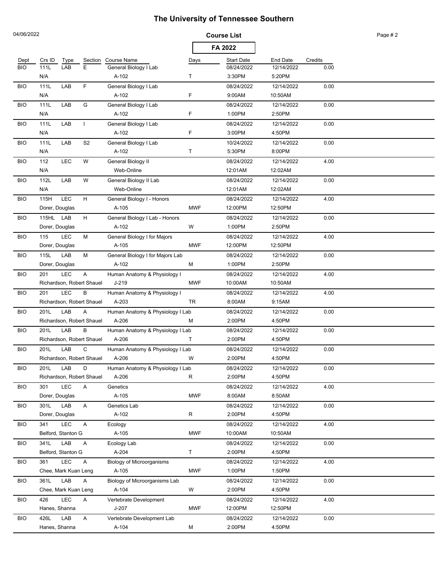| 04/06/2022 |                      |            |                           |                                           |            | <b>Course List</b> |                 |         | Page #2 |
|------------|----------------------|------------|---------------------------|-------------------------------------------|------------|--------------------|-----------------|---------|---------|
|            |                      |            |                           |                                           |            | FA 2022            |                 |         |         |
| Dept       | Crs ID               | Type       | Section                   | <b>Course Name</b>                        | Days       | <b>Start Date</b>  | <b>End Date</b> | Credits |         |
| <b>BIO</b> | 111L                 | LAB        | E                         | General Biology I Lab                     |            | 08/24/2022         | 12/14/2022      | 0.00    |         |
|            | N/A                  |            |                           | A-102                                     | т          | 3:30PM             | 5:20PM          |         |         |
| <b>BIO</b> | 111L                 | LAB        | F.                        | General Biology I Lab                     |            | 08/24/2022         | 12/14/2022      | 0.00    |         |
|            | N/A                  |            |                           | A-102                                     | F          | 9:00AM             | 10:50AM         |         |         |
| <b>BIO</b> | 111L                 | LAB        | G                         | General Biology I Lab                     |            | 08/24/2022         | 12/14/2022      | 0.00    |         |
|            | N/A                  |            |                           | A-102                                     | F          | 1:00PM             | 2:50PM          |         |         |
| <b>BIO</b> | 111L                 | LAB        | $\mathbf{I}$              | General Biology I Lab                     |            | 08/24/2022         | 12/14/2022      | 0.00    |         |
|            | N/A                  |            |                           | A-102                                     | F          | 3:00PM             | 4:50PM          |         |         |
| <b>BIO</b> | 111L                 | LAB        | S2                        | General Biology I Lab                     |            | 10/24/2022         | 12/14/2022      | 0.00    |         |
|            | N/A                  |            |                           | A-102                                     | т          | 5:30PM             | 8:00PM          |         |         |
| <b>BIO</b> | 112                  | <b>LEC</b> | W                         | General Biology II                        |            | 08/24/2022         | 12/14/2022      | 4.00    |         |
|            | N/A                  |            |                           | Web-Online                                |            | 12:01AM            | 12:02AM         |         |         |
| <b>BIO</b> | 112L                 | LAB        | W                         | General Biology II Lab                    |            | 08/24/2022         | 12/14/2022      | 0.00    |         |
|            | N/A                  |            |                           | Web-Online                                |            | 12:01AM            | 12:02AM         |         |         |
| <b>BIO</b> | 115H                 | LEC        | H                         | General Biology I - Honors                |            | 08/24/2022         | 12/14/2022      | 4.00    |         |
|            | Dorer, Douglas       |            |                           | A-105                                     | <b>MWF</b> | 12:00PM            | 12:50PM         |         |         |
| <b>BIO</b> | 115HL LAB            |            | H                         | General Biology I Lab - Honors            |            | 08/24/2022         | 12/14/2022      | 0.00    |         |
|            | Dorer, Douglas       |            |                           | A-102                                     | W          | 1:00PM             | 2:50PM          |         |         |
| <b>BIO</b> | 115                  | <b>LEC</b> | M                         | General Biology I for Majors              |            | 08/24/2022         | 12/14/2022      | 4.00    |         |
|            | Dorer, Douglas       |            |                           | A-105                                     | <b>MWF</b> | 12:00PM            | 12:50PM         |         |         |
| <b>BIO</b> | 115L                 | LAB        | м                         | General Biology I for Majors Lab          |            | 08/24/2022         | 12/14/2022      | 0.00    |         |
|            | Dorer, Douglas       |            |                           | A-102                                     | м          | 1:00PM             | 2:50PM          |         |         |
| <b>BIO</b> | 201                  | <b>LEC</b> | A                         | Human Anatomy & Physiology I              |            | 08/24/2022         | 12/14/2022      | 4.00    |         |
|            |                      |            | Richardson, Robert Shauel | $J-219$                                   | <b>MWF</b> | 10:00AM            | 10:50AM         |         |         |
| <b>BIO</b> | 201                  | <b>LEC</b> | B                         | Human Anatomy & Physiology I              |            | 08/24/2022         | 12/14/2022      | 4.00    |         |
|            |                      |            | Richardson, Robert Shauel | A-203                                     | TR         | 8:00AM             | 9:15AM          |         |         |
| <b>BIO</b> | 201L                 | LAB        | A                         | Human Anatomy & Physiology I Lab          |            | 08/24/2022         | 12/14/2022      | 0.00    |         |
|            |                      |            | Richardson, Robert Shauel | A-206                                     | М          | 2:00PM             | 4:50PM          |         |         |
|            | 201L                 | LAB        | В                         |                                           |            | 08/24/2022         | 12/14/2022      |         |         |
| <b>BIO</b> |                      |            | Richardson, Robert Shauel | Human Anatomy & Physiology I Lab<br>A-206 | т          | 2:00PM             | 4:50PM          | 0.00    |         |
|            |                      |            |                           |                                           |            |                    |                 |         |         |
| <b>BIO</b> | 201L                 | LAB        | C                         | Human Anatomy & Physiology I Lab<br>A-206 |            | 08/24/2022         | 12/14/2022      | 0.00    |         |
|            |                      |            | Richardson, Robert Shauel |                                           | W          | 2:00PM             | 4:50PM          |         |         |
| <b>BIO</b> | 201L                 | LAB        | D                         | Human Anatomy & Physiology I Lab          |            | 08/24/2022         | 12/14/2022      | 0.00    |         |
|            |                      |            | Richardson, Robert Shauel | A-206                                     | R          | 2:00PM             | 4:50PM          |         |         |
| <b>BIO</b> | 301                  | LEC        | A                         | Genetics                                  |            | 08/24/2022         | 12/14/2022      | 4.00    |         |
|            | Dorer, Douglas       |            |                           | A-105                                     | <b>MWF</b> | 8:00AM             | 8:50AM          |         |         |
| <b>BIO</b> | 301L                 | LAB        | $\mathsf{A}$              | Genetics Lab                              |            | 08/24/2022         | 12/14/2022      | 0.00    |         |
|            | Dorer, Douglas       |            |                           | A-102                                     | R          | 2:00PM             | 4:50PM          |         |         |
| <b>BIO</b> | 341                  | LEC        | A                         | Ecology                                   |            | 08/24/2022         | 12/14/2022      | 4.00    |         |
|            | Belford, Stanton G   |            |                           | A-105                                     | <b>MWF</b> | 10:00AM            | 10:50AM         |         |         |
| <b>BIO</b> | 341L                 | LAB        | A                         | Ecology Lab                               |            | 08/24/2022         | 12/14/2022      | 0.00    |         |
|            | Belford, Stanton G   |            |                           | A-204                                     | Τ          | 2:00PM             | 4:50PM          |         |         |
| <b>BIO</b> | 361                  | LEC        | A                         | <b>Biology of Microorganisms</b>          |            | 08/24/2022         | 12/14/2022      | 4.00    |         |
|            | Chee, Mark Kuan Leng |            |                           | A-105                                     | <b>MWF</b> | 1:00PM             | 1:50PM          |         |         |
| <b>BIO</b> | 361L                 | LAB        | A                         | Biology of Microorganisms Lab             |            | 08/24/2022         | 12/14/2022      | 0.00    |         |
|            | Chee, Mark Kuan Leng |            |                           | A-104                                     | W          | 2:00PM             | 4:50PM          |         |         |
| <b>BIO</b> | 426                  | <b>LEC</b> | A                         | Vertebrate Development                    |            | 08/24/2022         | 12/14/2022      | 4.00    |         |
|            | Hanes, Shanna        |            |                           | $J-207$                                   | <b>MWF</b> | 12:00PM            | 12:50PM         |         |         |
| <b>BIO</b> | 426L                 | LAB        | A                         | Vertebrate Development Lab                |            | 08/24/2022         | 12/14/2022      | 0.00    |         |
|            | Hanes, Shanna        |            |                           | A-104                                     | М          | 2:00PM             | 4:50PM          |         |         |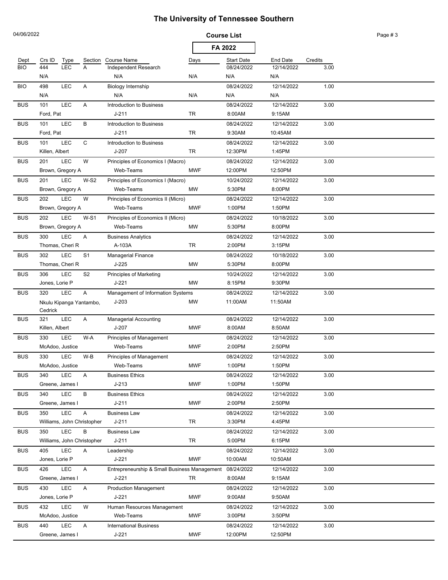|            | 04/06/2022                 |            |                |                                                         | <b>Course List</b> |                   |                 |         | Page #3 |
|------------|----------------------------|------------|----------------|---------------------------------------------------------|--------------------|-------------------|-----------------|---------|---------|
|            |                            |            |                |                                                         | FA 2022            |                   |                 |         |         |
| Dept       | Crs ID                     | Type       | Section        | Course Name                                             | Days               | <b>Start Date</b> | <b>End Date</b> | Credits |         |
| <b>BIO</b> | 444                        | <b>LEC</b> | A              | Independent Research                                    |                    | 08/24/2022        | 12/14/2022      | 3.00    |         |
|            | N/A                        |            |                | N/A                                                     | N/A                | N/A               | N/A             |         |         |
| <b>BIO</b> | 498                        | LEC        | Α              | Biology Internship                                      |                    | 08/24/2022        | 12/14/2022      | 1.00    |         |
|            | N/A                        |            |                | N/A                                                     | N/A                | N/A               | N/A             |         |         |
| <b>BUS</b> | 101                        | <b>LEC</b> | Α              | Introduction to Business                                |                    | 08/24/2022        | 12/14/2022      | 3.00    |         |
|            | Ford, Pat                  |            |                | $J - 211$                                               | TR                 | 8:00AM            | 9:15AM          |         |         |
| <b>BUS</b> | 101                        | <b>LEC</b> | В              | Introduction to Business                                |                    | 08/24/2022        | 12/14/2022      | 3.00    |         |
|            | Ford, Pat                  |            |                | $J - 211$                                               | TR                 | 9:30AM            | 10:45AM         |         |         |
| <b>BUS</b> | 101                        | <b>LEC</b> | C              | Introduction to Business                                |                    | 08/24/2022        | 12/14/2022      | 3.00    |         |
|            | Killen, Albert             |            |                | J-207                                                   | TR                 | 12:30PM           | 1:45PM          |         |         |
| <b>BUS</b> | 201                        | <b>LEC</b> | W              | Principles of Economics I (Macro)                       |                    | 08/24/2022        | 12/14/2022      | 3.00    |         |
|            | Brown, Gregory A           |            |                | Web-Teams                                               | <b>MWF</b>         | 12:00PM           | 12:50PM         |         |         |
| <b>BUS</b> | 201                        | LEC        | $W-S2$         | Principles of Economics I (Macro)                       |                    | 10/24/2022        | 12/14/2022      | 3.00    |         |
|            | Brown, Gregory A           |            |                | Web-Teams                                               | <b>MW</b>          | 5:30PM            | 8:00PM          |         |         |
| <b>BUS</b> | 202                        | LEC        | W              | Principles of Economics II (Micro)                      |                    | 08/24/2022        | 12/14/2022      | 3.00    |         |
|            | Brown, Gregory A           |            |                | Web-Teams                                               | <b>MWF</b>         | 1:00PM            | 1:50PM          |         |         |
| <b>BUS</b> | 202                        | <b>LEC</b> | $W-S1$         | Principles of Economics II (Micro)                      |                    | 08/24/2022        | 10/18/2022      | 3.00    |         |
|            | Brown, Gregory A           |            |                | Web-Teams                                               | MW                 | 5:30PM            | 8:00PM          |         |         |
| <b>BUS</b> | 300                        | LEC        | Α              | <b>Business Analytics</b>                               |                    | 08/24/2022        | 12/14/2022      | 3.00    |         |
|            | Thomas, Cheri R            |            |                | A-103A                                                  | TR                 | 2:00PM            | 3:15PM          |         |         |
| <b>BUS</b> | 302                        | LEC        | S <sub>1</sub> | Managerial Finance                                      |                    | 08/24/2022        | 10/18/2022      | 3.00    |         |
|            | Thomas, Cheri R            |            |                | J-225                                                   | MW                 | 5:30PM            | 8:00PM          |         |         |
| <b>BUS</b> | 306                        | <b>LEC</b> | S <sub>2</sub> | <b>Principles of Marketing</b>                          |                    | 10/24/2022        | 12/14/2022      | 3.00    |         |
|            | Jones, Lorie P             |            |                | J-221                                                   | MW                 | 8:15PM            | 9:30PM          |         |         |
| <b>BUS</b> | 320                        | <b>LEC</b> | A              | Management of Information Systems                       |                    | 08/24/2022        | 12/14/2022      | 3.00    |         |
|            | Nkulu Kipanga Yantambo,    |            |                | $J-203$                                                 | MW                 | 11:00AM           | 11:50AM         |         |         |
|            | Cedrick                    |            |                |                                                         |                    |                   |                 |         |         |
| <b>BUS</b> | 321                        | LEC        | A              | <b>Managerial Accounting</b>                            |                    | 08/24/2022        | 12/14/2022      | 3.00    |         |
|            | Killen, Albert             |            |                | J-207                                                   | <b>MWF</b>         | 8:00AM            | 8:50AM          |         |         |
| <b>BUS</b> | 330                        | LEC        | W-A            | Principles of Management                                |                    | 08/24/2022        | 12/14/2022      | 3.00    |         |
|            | McAdoo, Justice            |            |                | Web-Teams                                               | <b>MWF</b>         | 2:00PM            | 2:50PM          |         |         |
| <b>BUS</b> | 330                        | LEC        | W-B            | Principles of Management                                |                    | 08/24/2022        | 12/14/2022      | 3.00    |         |
|            | McAdoo, Justice            |            |                | Web-Teams                                               | <b>MWF</b>         | 1:00PM            | 1:50PM          |         |         |
| <b>BUS</b> | 340                        | <b>LEC</b> | A              | <b>Business Ethics</b>                                  |                    | 08/24/2022        | 12/14/2022      | 3.00    |         |
|            | Greene, James I            |            |                | $J-213$                                                 | <b>MWF</b>         | 1:00PM            | 1:50PM          |         |         |
| <b>BUS</b> | 340                        | LEC        | В              | <b>Business Ethics</b>                                  |                    | 08/24/2022        | 12/14/2022      | 3.00    |         |
|            | Greene, James I            |            |                | $J - 211$                                               | <b>MWF</b>         | 2:00PM            | 2:50PM          |         |         |
| <b>BUS</b> | 350                        | <b>LEC</b> | A              | <b>Business Law</b>                                     |                    | 08/24/2022        | 12/14/2022      | 3.00    |         |
|            | Williams, John Christopher |            |                | $J - 211$                                               | TR                 | 3:30PM            | 4:45PM          |         |         |
| <b>BUS</b> | 350                        | <b>LEC</b> | В              | <b>Business Law</b>                                     |                    | 08/24/2022        | 12/14/2022      | 3.00    |         |
|            | Williams, John Christopher |            |                | J-211                                                   | TR                 | 5:00PM            | 6:15PM          |         |         |
| <b>BUS</b> | 405                        | <b>LEC</b> | A              | Leadership                                              |                    | 08/24/2022        | 12/14/2022      | 3.00    |         |
|            | Jones, Lorie P             |            |                | J-221                                                   | <b>MWF</b>         | 10:00AM           | 10:50AM         |         |         |
| <b>BUS</b> | 426                        | <b>LEC</b> | A              | Entrepreneurship & Small Business Management 08/24/2022 |                    |                   | 12/14/2022      | 3.00    |         |
|            | Greene, James I            |            |                | J-221                                                   | TR                 | 8:00AM            | 9:15AM          |         |         |
| <b>BUS</b> | 430                        | LEC        | A              | <b>Production Management</b>                            |                    | 08/24/2022        | 12/14/2022      | 3.00    |         |
|            | Jones, Lorie P             |            |                | J-221                                                   | <b>MWF</b>         | 9:00AM            | 9:50AM          |         |         |
| <b>BUS</b> | 432                        | LEC        | W              | Human Resources Management                              |                    | 08/24/2022        | 12/14/2022      | 3.00    |         |
|            | McAdoo, Justice            |            |                | Web-Teams                                               | <b>MWF</b>         | 3:00PM            | 3:50PM          |         |         |
| <b>BUS</b> | 440                        | LEC        | A              | <b>International Business</b>                           |                    | 08/24/2022        | 12/14/2022      | 3.00    |         |
|            | Greene, James I            |            |                | $J-221$                                                 | <b>MWF</b>         | 12:00PM           | 12:50PM         |         |         |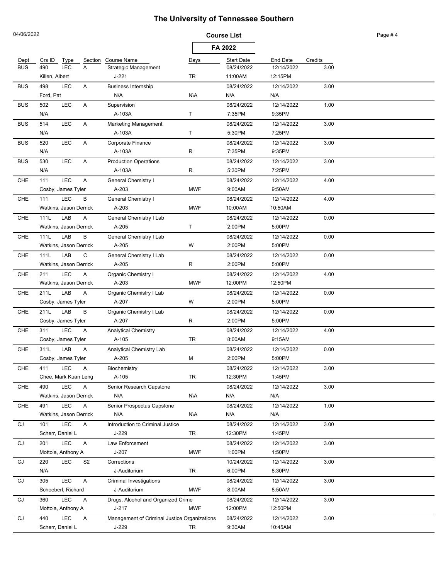|            | 04/06/2022             |            |                |                                              | <b>Course List</b> |                   |            |         | Page #4 |
|------------|------------------------|------------|----------------|----------------------------------------------|--------------------|-------------------|------------|---------|---------|
|            |                        |            |                |                                              |                    | FA 2022           |            |         |         |
| Dept       | Crs ID                 | Type       | Section        | <b>Course Name</b>                           | Days               | <b>Start Date</b> | End Date   | Credits |         |
| <b>BUS</b> | 490                    | <b>LEC</b> | Α              | <b>Strategic Management</b>                  |                    | 08/24/2022        | 12/14/2022 | 3.00    |         |
|            | Killen, Albert         |            |                | $J-221$                                      | TR                 | 11:00AM           | 12:15PM    |         |         |
| <b>BUS</b> | 498                    | LEC        | A              | <b>Business Internship</b>                   |                    | 08/24/2022        | 12/14/2022 | 3.00    |         |
|            | Ford, Pat              |            |                | N/A                                          | N\A                | N/A               | N/A        |         |         |
| <b>BUS</b> | 502                    | <b>LEC</b> | Α              | Supervision                                  |                    | 08/24/2022        | 12/14/2022 | 1.00    |         |
|            | N/A                    |            |                | A-103A                                       | Τ                  | 7:35PM            | 9:35PM     |         |         |
| <b>BUS</b> | 514                    | <b>LEC</b> | Α              | <b>Marketing Management</b>                  |                    | 08/24/2022        | 12/14/2022 | 3.00    |         |
|            | N/A                    |            |                | A-103A                                       | Τ                  | 5:30PM            | 7:25PM     |         |         |
| <b>BUS</b> | 520                    | LEC        | Α              | Corporate Finance                            |                    | 08/24/2022        | 12/14/2022 | 3.00    |         |
|            | N/A                    |            |                | A-103A                                       | R                  | 7:35PM            | 9:35PM     |         |         |
| <b>BUS</b> | 530                    | LEC        | Α              | <b>Production Operations</b>                 |                    | 08/24/2022        | 12/14/2022 | 3.00    |         |
|            | N/A                    |            |                | A-103A                                       | R                  | 5:30PM            | 7:25PM     |         |         |
| CHE        | 111                    | LEC        | Α              | General Chemistry I                          |                    | 08/24/2022        | 12/14/2022 | 4.00    |         |
|            | Cosby, James Tyler     |            |                | A-203                                        | <b>MWF</b>         | 9:00AM            | 9:50AM     |         |         |
| CHE        | 111                    | LEC        | B              | General Chemistry I                          |                    | 08/24/2022        | 12/14/2022 | 4.00    |         |
|            | Watkins, Jason Derrick |            |                | A-203                                        | <b>MWF</b>         | 10:00AM           | 10:50AM    |         |         |
| CHE        | 111L                   | LAB        | A              | <b>General Chemistry I Lab</b>               |                    | 08/24/2022        | 12/14/2022 | 0.00    |         |
|            | Watkins, Jason Derrick |            |                | A-205                                        | T                  | 2:00PM            | 5:00PM     |         |         |
| CHE        | 111L                   | LAB        | В              | General Chemistry I Lab                      |                    | 08/24/2022        | 12/14/2022 | 0.00    |         |
|            | Watkins, Jason Derrick |            |                | A-205                                        | W                  | 2:00PM            | 5:00PM     |         |         |
| CHE        | 111L                   | LAB        | C              | General Chemistry I Lab                      |                    | 08/24/2022        | 12/14/2022 | 0.00    |         |
|            | Watkins, Jason Derrick |            |                | A-205                                        | R                  | 2:00PM            | 5:00PM     |         |         |
| CHE        | 211                    | LEC        | Α              | Organic Chemistry I                          |                    | 08/24/2022        | 12/14/2022 | 4.00    |         |
|            | Watkins, Jason Derrick |            |                | A-203                                        | <b>MWF</b>         | 12:00PM           | 12:50PM    |         |         |
| CHE        | 211L                   | LAB        | Α              | Organic Chemistry I Lab                      |                    | 08/24/2022        | 12/14/2022 | 0.00    |         |
|            | Cosby, James Tyler     |            |                | A-207                                        | W                  | 2:00PM            | 5:00PM     |         |         |
| <b>CHE</b> | 211L                   | LAB        | B              | Organic Chemistry I Lab                      |                    | 08/24/2022        | 12/14/2022 | 0.00    |         |
|            | Cosby, James Tyler     |            |                | A-207                                        | R                  | 2:00PM            | 5:00PM     |         |         |
| CHE        | 311                    | LEC        | A              | <b>Analytical Chemistry</b>                  |                    | 08/24/2022        | 12/14/2022 | 4.00    |         |
|            | Cosby, James Tyler     |            |                | A-105                                        | TR                 | 8:00AM            | 9:15AM     |         |         |
| <b>CHE</b> | 311L                   | LAB        | Α              | <b>Analytical Chemistry Lab</b>              |                    | 08/24/2022        | 12/14/2022 | 0.00    |         |
|            | Cosby, James Tyler     |            |                | A-205                                        | M                  | 2:00PM            | 5:00PM     |         |         |
| <b>CHE</b> | 411                    | <b>LEC</b> | A              | Biochemistry                                 |                    | 08/24/2022        | 12/14/2022 | 3.00    |         |
|            | Chee, Mark Kuan Leng   |            |                | A-105                                        | TR                 | 12:30PM           | 1:45PM     |         |         |
| <b>CHE</b> | 490                    | LEC        | A              | Senior Research Capstone                     |                    | 08/24/2022        | 12/14/2022 | 3.00    |         |
|            | Watkins, Jason Derrick |            |                | N/A                                          | <b>N\A</b>         | N/A               | N/A        |         |         |
| CHE        | 491                    | LEC        | A              | Senior Prospectus Capstone                   |                    | 08/24/2022        | 12/14/2022 | 1.00    |         |
|            | Watkins, Jason Derrick |            |                | N/A                                          | <b>N\A</b>         | N/A               | N/A        |         |         |
| CJ         | 101                    | LEC        | A              | Introduction to Criminal Justice             |                    | 08/24/2022        | 12/14/2022 | 3.00    |         |
|            | Scherr, Daniel L       |            |                | J-229                                        | TR                 | 12:30PM           | 1:45PM     |         |         |
| CJ         | 201                    | <b>LEC</b> | A              | Law Enforcement                              |                    | 08/24/2022        | 12/14/2022 | 3.00    |         |
|            | Mottola, Anthony A     |            |                | J-207                                        | <b>MWF</b>         | 1:00PM            | 1:50PM     |         |         |
| CJ         | 220                    | <b>LEC</b> | S <sub>2</sub> | Corrections                                  |                    | 10/24/2022        | 12/14/2022 | 3.00    |         |
|            | N/A                    |            |                | J-Auditorium                                 | TR                 | 6:00PM            | 8:30PM     |         |         |
| CJ         | 305                    | LEC        | Α              | <b>Criminal Investigations</b>               |                    | 08/24/2022        | 12/14/2022 | 3.00    |         |
|            | Schoeberl, Richard     |            |                | J-Auditorium                                 | <b>MWF</b>         | 8:00AM            | 8:50AM     |         |         |
| CJ         | 360                    | LEC        | Α              | Drugs, Alcohol and Organized Crime           |                    | 08/24/2022        | 12/14/2022 | 3.00    |         |
|            | Mottola, Anthony A     |            |                | $J-217$                                      | <b>MWF</b>         | 12:00PM           | 12:50PM    |         |         |
| CJ         | 440                    | LEC        | Α              | Management of Criminal Justice Organizations |                    | 08/24/2022        | 12/14/2022 | 3.00    |         |
|            | Scherr, Daniel L       |            |                | J-229                                        | TR                 | 9:30AM            | 10:45AM    |         |         |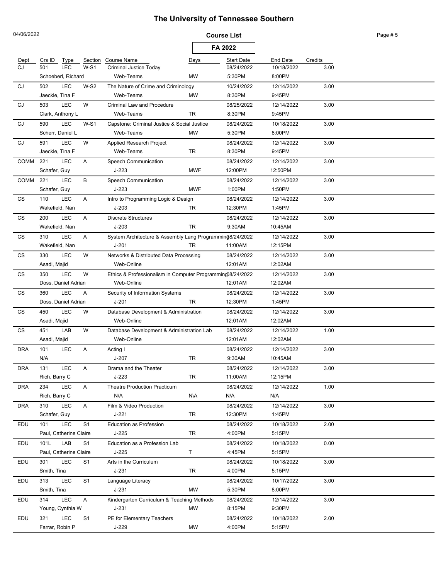| 04/06/2022 |                         |            |                |                                                                       |            | <b>Course List</b>   |                      |         | Page #5 |
|------------|-------------------------|------------|----------------|-----------------------------------------------------------------------|------------|----------------------|----------------------|---------|---------|
|            |                         |            |                |                                                                       |            | FA 2022              |                      |         |         |
| Dept       | Crs ID                  | Type       | Section        | <b>Course Name</b>                                                    | Days       | <b>Start Date</b>    | <b>End Date</b>      | Credits |         |
| CJ.        | 501                     | <b>LEC</b> | $W-S1$         | <b>Criminal Justice Today</b>                                         |            | 08/24/2022           | 10/18/2022           | 3.00    |         |
|            | Schoeberl, Richard      |            |                | Web-Teams                                                             | MW         | 5:30PM               | 8:00PM               |         |         |
| CJ         | 502                     | <b>LEC</b> | $W-S2$         | The Nature of Crime and Criminology                                   |            | 10/24/2022           | 12/14/2022           | 3.00    |         |
|            | Jaeckle, Tina F         |            |                | Web-Teams                                                             | <b>MW</b>  | 8:30PM               | 9:45PM               |         |         |
| CJ         | 503                     | <b>LEC</b> | W              | <b>Criminal Law and Procedure</b>                                     |            | 08/25/2022           | 12/14/2022           | 3.00    |         |
|            | Clark, Anthony L        |            |                | Web-Teams                                                             | <b>TR</b>  | 8:30PM               | 9:45PM               |         |         |
| CJ         | 590<br>Scherr, Daniel L | <b>LEC</b> | $W-S1$         | Capstone: Criminal Justice & Social Justice<br>Web-Teams              | <b>MW</b>  | 08/24/2022<br>5:30PM | 10/18/2022<br>8:00PM | 3.00    |         |
|            |                         | <b>LEC</b> | W              |                                                                       |            |                      |                      |         |         |
| CJ         | 591<br>Jaeckle, Tina F  |            |                | Applied Research Project<br>Web-Teams                                 | TR         | 08/24/2022<br>8:30PM | 12/14/2022<br>9:45PM | 3.00    |         |
| COMM       | 221                     | <b>LEC</b> | A              | Speech Communication                                                  |            | 08/24/2022           | 12/14/2022           | 3.00    |         |
|            | Schafer, Guy            |            |                | J-223                                                                 | <b>MWF</b> | 12:00PM              | 12:50PM              |         |         |
| COMM       | 221                     | <b>LEC</b> | В              | Speech Communication                                                  |            | 08/24/2022           | 12/14/2022           | 3.00    |         |
|            | Schafer, Guy            |            |                | $J-223$                                                               | <b>MWF</b> | 1:00PM               | 1:50PM               |         |         |
| CS         | 110                     | <b>LEC</b> | Α              | Intro to Programming Logic & Design                                   |            | 08/24/2022           | 12/14/2022           | 3.00    |         |
|            | Wakefield, Nan          |            |                | $J-203$                                                               | TR         | 12:30PM              | 1:45PM               |         |         |
| CS         | 200                     | <b>LEC</b> | Α              | <b>Discrete Structures</b>                                            |            | 08/24/2022           | 12/14/2022           | 3.00    |         |
|            | Wakefield, Nan          |            |                | $J-203$                                                               | <b>TR</b>  | 9:30AM               | 10:45AM              |         |         |
| CS         | 310                     | <b>LEC</b> | Α              |                                                                       |            |                      | 12/14/2022           | 3.00    |         |
|            | Wakefield, Nan          |            |                | System Architecture & Assembly Lang Programming8/24/2022<br>$J - 201$ | <b>TR</b>  | 11:00AM              | 12:15PM              |         |         |
| CS         | 330                     | <b>LEC</b> | W              | Networks & Distributed Data Processing                                |            | 08/24/2022           | 12/14/2022           | 3.00    |         |
|            | Asadi, Majid            |            |                | Web-Online                                                            |            | 12:01AM              | 12:02AM              |         |         |
| CS         | 350                     | <b>LEC</b> | W              | Ethics & Professionalism in Computer Programming08/24/2022            |            |                      | 12/14/2022           | 3.00    |         |
|            | Doss, Daniel Adrian     |            |                | Web-Online                                                            |            | 12:01AM              | 12:02AM              |         |         |
| CS         | 360                     | <b>LEC</b> | Α              | Security of Information Systems                                       |            | 08/24/2022           | 12/14/2022           | 3.00    |         |
|            | Doss, Daniel Adrian     |            |                | $J - 201$                                                             | <b>TR</b>  | 12:30PM              | 1:45PM               |         |         |
| CS         | 450                     | <b>LEC</b> | W              | Database Development & Administration                                 |            | 08/24/2022           | 12/14/2022           | 3.00    |         |
|            | Asadi, Majid            |            |                | Web-Online                                                            |            | 12:01AM              | 12:02AM              |         |         |
| CS         | 451                     | LAB        | W              | Database Development & Administration Lab                             |            | 08/24/2022           | 12/14/2022           | 1.00    |         |
|            | Asadi, Majid            |            |                | Web-Online                                                            |            | 12:01AM              | 12:02AM              |         |         |
| <b>DRA</b> | 101                     | <b>LEC</b> | Α              | Acting I                                                              |            | 08/24/2022           | 12/14/2022           | 3.00    |         |
|            | N/A                     |            |                | J-207                                                                 | TR         | 9:30AM               | 10:45AM              |         |         |
| <b>DRA</b> | 131                     | <b>LEC</b> | A              | Drama and the Theater                                                 |            | 08/24/2022           | 12/14/2022           | 3.00    |         |
|            | Rich, Barry C           |            |                | $J-223$                                                               | TR         | 11:00AM              | 12:15PM              |         |         |
| <b>DRA</b> | 234                     | <b>LEC</b> | A              | <b>Theatre Production Practicum</b>                                   |            | 08/24/2022           | 12/14/2022           | 1.00    |         |
|            | Rich, Barry C           |            |                | N/A                                                                   | <b>N\A</b> | N/A                  | N/A                  |         |         |
| <b>DRA</b> | 310                     | <b>LEC</b> | A              | Film & Video Production                                               |            | 08/24/2022           | 12/14/2022           | 3.00    |         |
|            | Schafer, Guy            |            |                | J-221                                                                 | TR         | 12:30PM              | 1:45PM               |         |         |
| EDU        | 101                     | <b>LEC</b> | S <sub>1</sub> | <b>Education as Profession</b>                                        |            | 08/24/2022           | 10/18/2022           | 2.00    |         |
|            | Paul, Catherine Claire  |            |                | $J-225$                                                               | TR         | 4:00PM               | 5:15PM               |         |         |
| EDU        | 101L                    | LAB        | S <sub>1</sub> | Education as a Profession Lab                                         |            | 08/24/2022           | 10/18/2022           | 0.00    |         |
|            | Paul, Catherine Claire  |            |                | $J-225$                                                               | T          | 4:45PM               | 5:15PM               |         |         |
| EDU        | 301                     | <b>LEC</b> | S <sub>1</sub> | Arts in the Curriculum                                                |            | 08/24/2022           | 10/18/2022           | 3.00    |         |
|            | Smith, Tina             |            |                | $J-231$                                                               | TR         | 4:00PM               | 5:15PM               |         |         |
| EDU        | 313                     | <b>LEC</b> | S <sub>1</sub> | Language Literacy                                                     |            | 08/24/2022           | 10/17/2022           | 3.00    |         |
|            | Smith, Tina             |            |                | $J-231$                                                               | <b>MW</b>  | 5:30PM               | 8:00PM               |         |         |
| EDU        | 314                     | <b>LEC</b> | $\mathsf{A}$   | Kindergarten Curriculum & Teaching Methods                            |            | 08/24/2022           | 12/14/2022           | 3.00    |         |
|            | Young, Cynthia W        |            |                | $J - 231$                                                             | MW         | 8:15PM               | 9:30PM               |         |         |
| EDU        | 321                     | <b>LEC</b> | S <sub>1</sub> | PE for Elementary Teachers                                            |            | 08/24/2022           | 10/18/2022           | 2.00    |         |
|            | Farrar, Robin P         |            |                | J-229                                                                 | МW         | 4:00PM               | 5:15PM               |         |         |
|            |                         |            |                |                                                                       |            |                      |                      |         |         |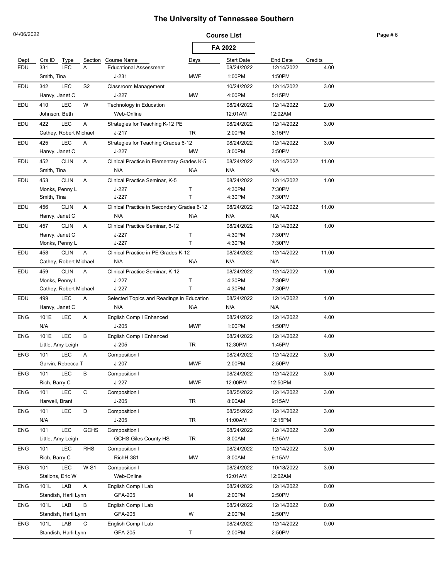| FA 2022<br><b>Start Date</b><br>End Date<br>Credits<br>Crs ID<br>Type<br>Section<br><b>Course Name</b><br>Dept<br>Days<br>LEC<br>EDU<br>331<br>A<br>08/24/2022<br>12/14/2022<br><b>Educational Assessment</b><br>4.00<br>$J-231$<br>1:00PM<br>1:50PM<br>Smith, Tina<br><b>MWF</b><br>LEC<br>S <sub>2</sub><br>EDU<br>342<br>Classroom Management<br>10/24/2022<br>12/14/2022<br>3.00<br>Hanvy, Janet C<br>4:00PM<br>J-227<br>MW<br>5:15PM<br>410<br><b>LEC</b><br>W<br>08/24/2022<br>12/14/2022<br>2.00<br>EDU<br>Technology in Education<br>Web-Online<br>12:01AM<br>12:02AM<br>Johnson, Beth<br>LEC<br>A<br>EDU<br>422<br>08/24/2022<br>12/14/2022<br>3.00<br>Strategies for Teaching K-12 PE<br>TR<br>2:00PM<br>3:15PM<br>Cathey, Robert Michael<br>J-217<br>LEC<br>EDU<br>425<br>Α<br>08/24/2022<br>12/14/2022<br>3.00<br>Strategies for Teaching Grades 6-12<br>J-227<br><b>MW</b><br>3:00PM<br>3:50PM<br>Hanvy, Janet C<br>452<br>EDU<br><b>CLIN</b><br>Α<br>Clinical Practice in Elementary Grades K-5<br>08/24/2022<br>12/14/2022<br>11.00<br>N/A<br><b>N\A</b><br>N/A<br>Smith, Tina<br>N/A<br>EDU<br><b>CLIN</b><br>08/24/2022<br>12/14/2022<br>453<br>A<br>Clinical Practice Seminar, K-5<br>1.00<br>4:30PM<br>7:30PM<br>Monks, Penny L<br>J-227<br>т<br>$J-227$<br>T<br>4:30PM<br>7:30PM<br>Smith, Tina<br>EDU<br><b>CLIN</b><br>456<br>A<br>Clinical Practice in Secondary Grades 6-12<br>08/24/2022<br>12/14/2022<br>11.00<br>N/A<br><b>N\A</b><br>N/A<br>N/A<br>Hanvy, Janet C<br><b>CLIN</b><br>A<br>08/24/2022<br>12/14/2022<br>1.00<br>EDU<br>457<br>Clinical Practice Seminar, 6-12<br>Hanvy, Janet C<br>$J-227$<br>4:30PM<br>7:30PM<br>т<br>T.<br>Monks, Penny L<br>J-227<br>4:30PM<br>7:30PM<br>EDU<br>458<br><b>CLIN</b><br>Α<br>Clinical Practice in PE Grades K-12<br>08/24/2022<br>12/14/2022<br>11.00<br>Cathey, Robert Michael<br>N/A<br>N\A<br>N/A<br>N/A<br>459<br><b>CLIN</b><br>08/24/2022<br>12/14/2022<br>EDU<br>A<br>Clinical Practice Seminar, K-12<br>1.00<br>Monks, Penny L<br>$J-227$<br>т<br>4:30PM<br>7:30PM<br>T<br>$J-227$<br>4:30PM<br>7:30PM<br>Cathey, Robert Michael<br>LEC<br>499<br>12/14/2022<br>EDU<br>Α<br>Selected Topics and Readings in Education<br>08/24/2022<br>1.00<br>N/A<br>Hanvy, Janet C<br>N\A<br>N/A<br>N/A<br>101E<br><b>LEC</b><br><b>ENG</b><br>Α<br>English Comp I Enhanced<br>08/24/2022<br>12/14/2022<br>4.00<br>N/A<br>$J-205$<br><b>MWF</b><br>1:00PM<br>1:50PM<br>LEC<br>В<br><b>ENG</b><br>101E<br>08/24/2022<br>12/14/2022<br>4.00<br>English Comp I Enhanced<br>$J-205$<br>TR<br>12:30PM<br>1:45PM<br>Little, Amy Leigh<br><b>ENG</b><br><b>LEC</b><br>3.00<br>101<br>Α<br>Composition I<br>08/24/2022<br>12/14/2022<br>Garvin, Rebecca T<br>J-207<br><b>MWF</b><br>2:00PM<br>2:50PM<br><b>ENG</b><br>LEC<br>B<br>Composition I<br>3.00<br>101<br>08/24/2022<br>12/14/2022<br>Rich, Barry C<br>$J-227$<br>12:00PM<br>12:50PM<br><b>MWF</b><br><b>ENG</b><br>101<br><b>LEC</b><br>$\mathsf C$<br>Composition I<br>08/25/2022<br>3.00<br>12/14/2022<br>$J-205$<br><b>TR</b><br>Harwell, Brant<br>8:00AM<br>9:15AM<br>LEC<br>D<br><b>ENG</b><br>Composition I<br>08/25/2022<br>12/14/2022<br>3.00<br>101<br>N/A<br>$J-205$<br>TR<br>11:00AM<br>12:15PM<br>LEC<br><b>ENG</b><br>101<br><b>GCHS</b><br>Composition I<br>08/24/2022<br>12/14/2022<br>3.00<br><b>GCHS-Giles County HS</b><br>TR<br>8:00AM<br>9:15AM<br>Little, Amy Leigh<br><b>ENG</b><br>LEC<br><b>RHS</b><br>08/24/2022<br>101<br>Composition I<br>12/14/2022<br>3.00<br>8:00AM<br>Rich, Barry C<br>RichH-381<br>MW<br>9:15AM<br><b>LEC</b><br><b>ENG</b><br>101<br>$W-S1$<br>08/24/2022<br>3.00<br>Composition I<br>10/18/2022<br>Stalions, Eric W<br>Web-Online<br>12:01AM<br>12:02AM<br>101L<br>LAB<br><b>ENG</b><br>A<br>English Comp I Lab<br>08/24/2022<br>12/14/2022<br>0.00<br>Standish, Harli Lynn<br>GFA-205<br>М<br>2:00PM<br>2:50PM<br>LAB<br><b>ENG</b><br>101L<br>B<br>08/24/2022<br>12/14/2022<br>English Comp I Lab<br>0.00<br>Standish, Harli Lynn<br>GFA-205<br>W<br>2:00PM<br>2:50PM<br>LAB<br><b>ENG</b><br>101L<br>C<br>English Comp I Lab<br>08/24/2022<br>12/14/2022<br>0.00<br>Standish, Harli Lynn<br>GFA-205<br>Τ<br>2:00PM<br>2:50PM | 04/06/2022 |  |  | <b>Course List</b> |  | Page #6 |
|--------------------------------------------------------------------------------------------------------------------------------------------------------------------------------------------------------------------------------------------------------------------------------------------------------------------------------------------------------------------------------------------------------------------------------------------------------------------------------------------------------------------------------------------------------------------------------------------------------------------------------------------------------------------------------------------------------------------------------------------------------------------------------------------------------------------------------------------------------------------------------------------------------------------------------------------------------------------------------------------------------------------------------------------------------------------------------------------------------------------------------------------------------------------------------------------------------------------------------------------------------------------------------------------------------------------------------------------------------------------------------------------------------------------------------------------------------------------------------------------------------------------------------------------------------------------------------------------------------------------------------------------------------------------------------------------------------------------------------------------------------------------------------------------------------------------------------------------------------------------------------------------------------------------------------------------------------------------------------------------------------------------------------------------------------------------------------------------------------------------------------------------------------------------------------------------------------------------------------------------------------------------------------------------------------------------------------------------------------------------------------------------------------------------------------------------------------------------------------------------------------------------------------------------------------------------------------------------------------------------------------------------------------------------------------------------------------------------------------------------------------------------------------------------------------------------------------------------------------------------------------------------------------------------------------------------------------------------------------------------------------------------------------------------------------------------------------------------------------------------------------------------------------------------------------------------------------------------------------------------------------------------------------------------------------------------------------------------------------------------------------------------------------------------------------------------------------------------------------------------------------------------------------------------------------------------------------------------------------------------------------------------------------------------------------------------------------------------------------------------------------------------------------------------------------------------------------------------------------------------------------------------------------------------------------------------------------------------------------------------------------------------------------------------------------------------------------------------------------------------------------------------------------------------------------------------------------|------------|--|--|--------------------|--|---------|
|                                                                                                                                                                                                                                                                                                                                                                                                                                                                                                                                                                                                                                                                                                                                                                                                                                                                                                                                                                                                                                                                                                                                                                                                                                                                                                                                                                                                                                                                                                                                                                                                                                                                                                                                                                                                                                                                                                                                                                                                                                                                                                                                                                                                                                                                                                                                                                                                                                                                                                                                                                                                                                                                                                                                                                                                                                                                                                                                                                                                                                                                                                                                                                                                                                                                                                                                                                                                                                                                                                                                                                                                                                                                                                                                                                                                                                                                                                                                                                                                                                                                                                                                                                                                        |            |  |  |                    |  |         |
|                                                                                                                                                                                                                                                                                                                                                                                                                                                                                                                                                                                                                                                                                                                                                                                                                                                                                                                                                                                                                                                                                                                                                                                                                                                                                                                                                                                                                                                                                                                                                                                                                                                                                                                                                                                                                                                                                                                                                                                                                                                                                                                                                                                                                                                                                                                                                                                                                                                                                                                                                                                                                                                                                                                                                                                                                                                                                                                                                                                                                                                                                                                                                                                                                                                                                                                                                                                                                                                                                                                                                                                                                                                                                                                                                                                                                                                                                                                                                                                                                                                                                                                                                                                                        |            |  |  |                    |  |         |
|                                                                                                                                                                                                                                                                                                                                                                                                                                                                                                                                                                                                                                                                                                                                                                                                                                                                                                                                                                                                                                                                                                                                                                                                                                                                                                                                                                                                                                                                                                                                                                                                                                                                                                                                                                                                                                                                                                                                                                                                                                                                                                                                                                                                                                                                                                                                                                                                                                                                                                                                                                                                                                                                                                                                                                                                                                                                                                                                                                                                                                                                                                                                                                                                                                                                                                                                                                                                                                                                                                                                                                                                                                                                                                                                                                                                                                                                                                                                                                                                                                                                                                                                                                                                        |            |  |  |                    |  |         |
|                                                                                                                                                                                                                                                                                                                                                                                                                                                                                                                                                                                                                                                                                                                                                                                                                                                                                                                                                                                                                                                                                                                                                                                                                                                                                                                                                                                                                                                                                                                                                                                                                                                                                                                                                                                                                                                                                                                                                                                                                                                                                                                                                                                                                                                                                                                                                                                                                                                                                                                                                                                                                                                                                                                                                                                                                                                                                                                                                                                                                                                                                                                                                                                                                                                                                                                                                                                                                                                                                                                                                                                                                                                                                                                                                                                                                                                                                                                                                                                                                                                                                                                                                                                                        |            |  |  |                    |  |         |
|                                                                                                                                                                                                                                                                                                                                                                                                                                                                                                                                                                                                                                                                                                                                                                                                                                                                                                                                                                                                                                                                                                                                                                                                                                                                                                                                                                                                                                                                                                                                                                                                                                                                                                                                                                                                                                                                                                                                                                                                                                                                                                                                                                                                                                                                                                                                                                                                                                                                                                                                                                                                                                                                                                                                                                                                                                                                                                                                                                                                                                                                                                                                                                                                                                                                                                                                                                                                                                                                                                                                                                                                                                                                                                                                                                                                                                                                                                                                                                                                                                                                                                                                                                                                        |            |  |  |                    |  |         |
|                                                                                                                                                                                                                                                                                                                                                                                                                                                                                                                                                                                                                                                                                                                                                                                                                                                                                                                                                                                                                                                                                                                                                                                                                                                                                                                                                                                                                                                                                                                                                                                                                                                                                                                                                                                                                                                                                                                                                                                                                                                                                                                                                                                                                                                                                                                                                                                                                                                                                                                                                                                                                                                                                                                                                                                                                                                                                                                                                                                                                                                                                                                                                                                                                                                                                                                                                                                                                                                                                                                                                                                                                                                                                                                                                                                                                                                                                                                                                                                                                                                                                                                                                                                                        |            |  |  |                    |  |         |
|                                                                                                                                                                                                                                                                                                                                                                                                                                                                                                                                                                                                                                                                                                                                                                                                                                                                                                                                                                                                                                                                                                                                                                                                                                                                                                                                                                                                                                                                                                                                                                                                                                                                                                                                                                                                                                                                                                                                                                                                                                                                                                                                                                                                                                                                                                                                                                                                                                                                                                                                                                                                                                                                                                                                                                                                                                                                                                                                                                                                                                                                                                                                                                                                                                                                                                                                                                                                                                                                                                                                                                                                                                                                                                                                                                                                                                                                                                                                                                                                                                                                                                                                                                                                        |            |  |  |                    |  |         |
|                                                                                                                                                                                                                                                                                                                                                                                                                                                                                                                                                                                                                                                                                                                                                                                                                                                                                                                                                                                                                                                                                                                                                                                                                                                                                                                                                                                                                                                                                                                                                                                                                                                                                                                                                                                                                                                                                                                                                                                                                                                                                                                                                                                                                                                                                                                                                                                                                                                                                                                                                                                                                                                                                                                                                                                                                                                                                                                                                                                                                                                                                                                                                                                                                                                                                                                                                                                                                                                                                                                                                                                                                                                                                                                                                                                                                                                                                                                                                                                                                                                                                                                                                                                                        |            |  |  |                    |  |         |
|                                                                                                                                                                                                                                                                                                                                                                                                                                                                                                                                                                                                                                                                                                                                                                                                                                                                                                                                                                                                                                                                                                                                                                                                                                                                                                                                                                                                                                                                                                                                                                                                                                                                                                                                                                                                                                                                                                                                                                                                                                                                                                                                                                                                                                                                                                                                                                                                                                                                                                                                                                                                                                                                                                                                                                                                                                                                                                                                                                                                                                                                                                                                                                                                                                                                                                                                                                                                                                                                                                                                                                                                                                                                                                                                                                                                                                                                                                                                                                                                                                                                                                                                                                                                        |            |  |  |                    |  |         |
|                                                                                                                                                                                                                                                                                                                                                                                                                                                                                                                                                                                                                                                                                                                                                                                                                                                                                                                                                                                                                                                                                                                                                                                                                                                                                                                                                                                                                                                                                                                                                                                                                                                                                                                                                                                                                                                                                                                                                                                                                                                                                                                                                                                                                                                                                                                                                                                                                                                                                                                                                                                                                                                                                                                                                                                                                                                                                                                                                                                                                                                                                                                                                                                                                                                                                                                                                                                                                                                                                                                                                                                                                                                                                                                                                                                                                                                                                                                                                                                                                                                                                                                                                                                                        |            |  |  |                    |  |         |
|                                                                                                                                                                                                                                                                                                                                                                                                                                                                                                                                                                                                                                                                                                                                                                                                                                                                                                                                                                                                                                                                                                                                                                                                                                                                                                                                                                                                                                                                                                                                                                                                                                                                                                                                                                                                                                                                                                                                                                                                                                                                                                                                                                                                                                                                                                                                                                                                                                                                                                                                                                                                                                                                                                                                                                                                                                                                                                                                                                                                                                                                                                                                                                                                                                                                                                                                                                                                                                                                                                                                                                                                                                                                                                                                                                                                                                                                                                                                                                                                                                                                                                                                                                                                        |            |  |  |                    |  |         |
|                                                                                                                                                                                                                                                                                                                                                                                                                                                                                                                                                                                                                                                                                                                                                                                                                                                                                                                                                                                                                                                                                                                                                                                                                                                                                                                                                                                                                                                                                                                                                                                                                                                                                                                                                                                                                                                                                                                                                                                                                                                                                                                                                                                                                                                                                                                                                                                                                                                                                                                                                                                                                                                                                                                                                                                                                                                                                                                                                                                                                                                                                                                                                                                                                                                                                                                                                                                                                                                                                                                                                                                                                                                                                                                                                                                                                                                                                                                                                                                                                                                                                                                                                                                                        |            |  |  |                    |  |         |
|                                                                                                                                                                                                                                                                                                                                                                                                                                                                                                                                                                                                                                                                                                                                                                                                                                                                                                                                                                                                                                                                                                                                                                                                                                                                                                                                                                                                                                                                                                                                                                                                                                                                                                                                                                                                                                                                                                                                                                                                                                                                                                                                                                                                                                                                                                                                                                                                                                                                                                                                                                                                                                                                                                                                                                                                                                                                                                                                                                                                                                                                                                                                                                                                                                                                                                                                                                                                                                                                                                                                                                                                                                                                                                                                                                                                                                                                                                                                                                                                                                                                                                                                                                                                        |            |  |  |                    |  |         |
|                                                                                                                                                                                                                                                                                                                                                                                                                                                                                                                                                                                                                                                                                                                                                                                                                                                                                                                                                                                                                                                                                                                                                                                                                                                                                                                                                                                                                                                                                                                                                                                                                                                                                                                                                                                                                                                                                                                                                                                                                                                                                                                                                                                                                                                                                                                                                                                                                                                                                                                                                                                                                                                                                                                                                                                                                                                                                                                                                                                                                                                                                                                                                                                                                                                                                                                                                                                                                                                                                                                                                                                                                                                                                                                                                                                                                                                                                                                                                                                                                                                                                                                                                                                                        |            |  |  |                    |  |         |
|                                                                                                                                                                                                                                                                                                                                                                                                                                                                                                                                                                                                                                                                                                                                                                                                                                                                                                                                                                                                                                                                                                                                                                                                                                                                                                                                                                                                                                                                                                                                                                                                                                                                                                                                                                                                                                                                                                                                                                                                                                                                                                                                                                                                                                                                                                                                                                                                                                                                                                                                                                                                                                                                                                                                                                                                                                                                                                                                                                                                                                                                                                                                                                                                                                                                                                                                                                                                                                                                                                                                                                                                                                                                                                                                                                                                                                                                                                                                                                                                                                                                                                                                                                                                        |            |  |  |                    |  |         |
|                                                                                                                                                                                                                                                                                                                                                                                                                                                                                                                                                                                                                                                                                                                                                                                                                                                                                                                                                                                                                                                                                                                                                                                                                                                                                                                                                                                                                                                                                                                                                                                                                                                                                                                                                                                                                                                                                                                                                                                                                                                                                                                                                                                                                                                                                                                                                                                                                                                                                                                                                                                                                                                                                                                                                                                                                                                                                                                                                                                                                                                                                                                                                                                                                                                                                                                                                                                                                                                                                                                                                                                                                                                                                                                                                                                                                                                                                                                                                                                                                                                                                                                                                                                                        |            |  |  |                    |  |         |
|                                                                                                                                                                                                                                                                                                                                                                                                                                                                                                                                                                                                                                                                                                                                                                                                                                                                                                                                                                                                                                                                                                                                                                                                                                                                                                                                                                                                                                                                                                                                                                                                                                                                                                                                                                                                                                                                                                                                                                                                                                                                                                                                                                                                                                                                                                                                                                                                                                                                                                                                                                                                                                                                                                                                                                                                                                                                                                                                                                                                                                                                                                                                                                                                                                                                                                                                                                                                                                                                                                                                                                                                                                                                                                                                                                                                                                                                                                                                                                                                                                                                                                                                                                                                        |            |  |  |                    |  |         |
|                                                                                                                                                                                                                                                                                                                                                                                                                                                                                                                                                                                                                                                                                                                                                                                                                                                                                                                                                                                                                                                                                                                                                                                                                                                                                                                                                                                                                                                                                                                                                                                                                                                                                                                                                                                                                                                                                                                                                                                                                                                                                                                                                                                                                                                                                                                                                                                                                                                                                                                                                                                                                                                                                                                                                                                                                                                                                                                                                                                                                                                                                                                                                                                                                                                                                                                                                                                                                                                                                                                                                                                                                                                                                                                                                                                                                                                                                                                                                                                                                                                                                                                                                                                                        |            |  |  |                    |  |         |
|                                                                                                                                                                                                                                                                                                                                                                                                                                                                                                                                                                                                                                                                                                                                                                                                                                                                                                                                                                                                                                                                                                                                                                                                                                                                                                                                                                                                                                                                                                                                                                                                                                                                                                                                                                                                                                                                                                                                                                                                                                                                                                                                                                                                                                                                                                                                                                                                                                                                                                                                                                                                                                                                                                                                                                                                                                                                                                                                                                                                                                                                                                                                                                                                                                                                                                                                                                                                                                                                                                                                                                                                                                                                                                                                                                                                                                                                                                                                                                                                                                                                                                                                                                                                        |            |  |  |                    |  |         |
|                                                                                                                                                                                                                                                                                                                                                                                                                                                                                                                                                                                                                                                                                                                                                                                                                                                                                                                                                                                                                                                                                                                                                                                                                                                                                                                                                                                                                                                                                                                                                                                                                                                                                                                                                                                                                                                                                                                                                                                                                                                                                                                                                                                                                                                                                                                                                                                                                                                                                                                                                                                                                                                                                                                                                                                                                                                                                                                                                                                                                                                                                                                                                                                                                                                                                                                                                                                                                                                                                                                                                                                                                                                                                                                                                                                                                                                                                                                                                                                                                                                                                                                                                                                                        |            |  |  |                    |  |         |
|                                                                                                                                                                                                                                                                                                                                                                                                                                                                                                                                                                                                                                                                                                                                                                                                                                                                                                                                                                                                                                                                                                                                                                                                                                                                                                                                                                                                                                                                                                                                                                                                                                                                                                                                                                                                                                                                                                                                                                                                                                                                                                                                                                                                                                                                                                                                                                                                                                                                                                                                                                                                                                                                                                                                                                                                                                                                                                                                                                                                                                                                                                                                                                                                                                                                                                                                                                                                                                                                                                                                                                                                                                                                                                                                                                                                                                                                                                                                                                                                                                                                                                                                                                                                        |            |  |  |                    |  |         |
|                                                                                                                                                                                                                                                                                                                                                                                                                                                                                                                                                                                                                                                                                                                                                                                                                                                                                                                                                                                                                                                                                                                                                                                                                                                                                                                                                                                                                                                                                                                                                                                                                                                                                                                                                                                                                                                                                                                                                                                                                                                                                                                                                                                                                                                                                                                                                                                                                                                                                                                                                                                                                                                                                                                                                                                                                                                                                                                                                                                                                                                                                                                                                                                                                                                                                                                                                                                                                                                                                                                                                                                                                                                                                                                                                                                                                                                                                                                                                                                                                                                                                                                                                                                                        |            |  |  |                    |  |         |
|                                                                                                                                                                                                                                                                                                                                                                                                                                                                                                                                                                                                                                                                                                                                                                                                                                                                                                                                                                                                                                                                                                                                                                                                                                                                                                                                                                                                                                                                                                                                                                                                                                                                                                                                                                                                                                                                                                                                                                                                                                                                                                                                                                                                                                                                                                                                                                                                                                                                                                                                                                                                                                                                                                                                                                                                                                                                                                                                                                                                                                                                                                                                                                                                                                                                                                                                                                                                                                                                                                                                                                                                                                                                                                                                                                                                                                                                                                                                                                                                                                                                                                                                                                                                        |            |  |  |                    |  |         |
|                                                                                                                                                                                                                                                                                                                                                                                                                                                                                                                                                                                                                                                                                                                                                                                                                                                                                                                                                                                                                                                                                                                                                                                                                                                                                                                                                                                                                                                                                                                                                                                                                                                                                                                                                                                                                                                                                                                                                                                                                                                                                                                                                                                                                                                                                                                                                                                                                                                                                                                                                                                                                                                                                                                                                                                                                                                                                                                                                                                                                                                                                                                                                                                                                                                                                                                                                                                                                                                                                                                                                                                                                                                                                                                                                                                                                                                                                                                                                                                                                                                                                                                                                                                                        |            |  |  |                    |  |         |
|                                                                                                                                                                                                                                                                                                                                                                                                                                                                                                                                                                                                                                                                                                                                                                                                                                                                                                                                                                                                                                                                                                                                                                                                                                                                                                                                                                                                                                                                                                                                                                                                                                                                                                                                                                                                                                                                                                                                                                                                                                                                                                                                                                                                                                                                                                                                                                                                                                                                                                                                                                                                                                                                                                                                                                                                                                                                                                                                                                                                                                                                                                                                                                                                                                                                                                                                                                                                                                                                                                                                                                                                                                                                                                                                                                                                                                                                                                                                                                                                                                                                                                                                                                                                        |            |  |  |                    |  |         |
|                                                                                                                                                                                                                                                                                                                                                                                                                                                                                                                                                                                                                                                                                                                                                                                                                                                                                                                                                                                                                                                                                                                                                                                                                                                                                                                                                                                                                                                                                                                                                                                                                                                                                                                                                                                                                                                                                                                                                                                                                                                                                                                                                                                                                                                                                                                                                                                                                                                                                                                                                                                                                                                                                                                                                                                                                                                                                                                                                                                                                                                                                                                                                                                                                                                                                                                                                                                                                                                                                                                                                                                                                                                                                                                                                                                                                                                                                                                                                                                                                                                                                                                                                                                                        |            |  |  |                    |  |         |
|                                                                                                                                                                                                                                                                                                                                                                                                                                                                                                                                                                                                                                                                                                                                                                                                                                                                                                                                                                                                                                                                                                                                                                                                                                                                                                                                                                                                                                                                                                                                                                                                                                                                                                                                                                                                                                                                                                                                                                                                                                                                                                                                                                                                                                                                                                                                                                                                                                                                                                                                                                                                                                                                                                                                                                                                                                                                                                                                                                                                                                                                                                                                                                                                                                                                                                                                                                                                                                                                                                                                                                                                                                                                                                                                                                                                                                                                                                                                                                                                                                                                                                                                                                                                        |            |  |  |                    |  |         |
|                                                                                                                                                                                                                                                                                                                                                                                                                                                                                                                                                                                                                                                                                                                                                                                                                                                                                                                                                                                                                                                                                                                                                                                                                                                                                                                                                                                                                                                                                                                                                                                                                                                                                                                                                                                                                                                                                                                                                                                                                                                                                                                                                                                                                                                                                                                                                                                                                                                                                                                                                                                                                                                                                                                                                                                                                                                                                                                                                                                                                                                                                                                                                                                                                                                                                                                                                                                                                                                                                                                                                                                                                                                                                                                                                                                                                                                                                                                                                                                                                                                                                                                                                                                                        |            |  |  |                    |  |         |
|                                                                                                                                                                                                                                                                                                                                                                                                                                                                                                                                                                                                                                                                                                                                                                                                                                                                                                                                                                                                                                                                                                                                                                                                                                                                                                                                                                                                                                                                                                                                                                                                                                                                                                                                                                                                                                                                                                                                                                                                                                                                                                                                                                                                                                                                                                                                                                                                                                                                                                                                                                                                                                                                                                                                                                                                                                                                                                                                                                                                                                                                                                                                                                                                                                                                                                                                                                                                                                                                                                                                                                                                                                                                                                                                                                                                                                                                                                                                                                                                                                                                                                                                                                                                        |            |  |  |                    |  |         |
|                                                                                                                                                                                                                                                                                                                                                                                                                                                                                                                                                                                                                                                                                                                                                                                                                                                                                                                                                                                                                                                                                                                                                                                                                                                                                                                                                                                                                                                                                                                                                                                                                                                                                                                                                                                                                                                                                                                                                                                                                                                                                                                                                                                                                                                                                                                                                                                                                                                                                                                                                                                                                                                                                                                                                                                                                                                                                                                                                                                                                                                                                                                                                                                                                                                                                                                                                                                                                                                                                                                                                                                                                                                                                                                                                                                                                                                                                                                                                                                                                                                                                                                                                                                                        |            |  |  |                    |  |         |
|                                                                                                                                                                                                                                                                                                                                                                                                                                                                                                                                                                                                                                                                                                                                                                                                                                                                                                                                                                                                                                                                                                                                                                                                                                                                                                                                                                                                                                                                                                                                                                                                                                                                                                                                                                                                                                                                                                                                                                                                                                                                                                                                                                                                                                                                                                                                                                                                                                                                                                                                                                                                                                                                                                                                                                                                                                                                                                                                                                                                                                                                                                                                                                                                                                                                                                                                                                                                                                                                                                                                                                                                                                                                                                                                                                                                                                                                                                                                                                                                                                                                                                                                                                                                        |            |  |  |                    |  |         |
|                                                                                                                                                                                                                                                                                                                                                                                                                                                                                                                                                                                                                                                                                                                                                                                                                                                                                                                                                                                                                                                                                                                                                                                                                                                                                                                                                                                                                                                                                                                                                                                                                                                                                                                                                                                                                                                                                                                                                                                                                                                                                                                                                                                                                                                                                                                                                                                                                                                                                                                                                                                                                                                                                                                                                                                                                                                                                                                                                                                                                                                                                                                                                                                                                                                                                                                                                                                                                                                                                                                                                                                                                                                                                                                                                                                                                                                                                                                                                                                                                                                                                                                                                                                                        |            |  |  |                    |  |         |
|                                                                                                                                                                                                                                                                                                                                                                                                                                                                                                                                                                                                                                                                                                                                                                                                                                                                                                                                                                                                                                                                                                                                                                                                                                                                                                                                                                                                                                                                                                                                                                                                                                                                                                                                                                                                                                                                                                                                                                                                                                                                                                                                                                                                                                                                                                                                                                                                                                                                                                                                                                                                                                                                                                                                                                                                                                                                                                                                                                                                                                                                                                                                                                                                                                                                                                                                                                                                                                                                                                                                                                                                                                                                                                                                                                                                                                                                                                                                                                                                                                                                                                                                                                                                        |            |  |  |                    |  |         |
|                                                                                                                                                                                                                                                                                                                                                                                                                                                                                                                                                                                                                                                                                                                                                                                                                                                                                                                                                                                                                                                                                                                                                                                                                                                                                                                                                                                                                                                                                                                                                                                                                                                                                                                                                                                                                                                                                                                                                                                                                                                                                                                                                                                                                                                                                                                                                                                                                                                                                                                                                                                                                                                                                                                                                                                                                                                                                                                                                                                                                                                                                                                                                                                                                                                                                                                                                                                                                                                                                                                                                                                                                                                                                                                                                                                                                                                                                                                                                                                                                                                                                                                                                                                                        |            |  |  |                    |  |         |
|                                                                                                                                                                                                                                                                                                                                                                                                                                                                                                                                                                                                                                                                                                                                                                                                                                                                                                                                                                                                                                                                                                                                                                                                                                                                                                                                                                                                                                                                                                                                                                                                                                                                                                                                                                                                                                                                                                                                                                                                                                                                                                                                                                                                                                                                                                                                                                                                                                                                                                                                                                                                                                                                                                                                                                                                                                                                                                                                                                                                                                                                                                                                                                                                                                                                                                                                                                                                                                                                                                                                                                                                                                                                                                                                                                                                                                                                                                                                                                                                                                                                                                                                                                                                        |            |  |  |                    |  |         |
|                                                                                                                                                                                                                                                                                                                                                                                                                                                                                                                                                                                                                                                                                                                                                                                                                                                                                                                                                                                                                                                                                                                                                                                                                                                                                                                                                                                                                                                                                                                                                                                                                                                                                                                                                                                                                                                                                                                                                                                                                                                                                                                                                                                                                                                                                                                                                                                                                                                                                                                                                                                                                                                                                                                                                                                                                                                                                                                                                                                                                                                                                                                                                                                                                                                                                                                                                                                                                                                                                                                                                                                                                                                                                                                                                                                                                                                                                                                                                                                                                                                                                                                                                                                                        |            |  |  |                    |  |         |
|                                                                                                                                                                                                                                                                                                                                                                                                                                                                                                                                                                                                                                                                                                                                                                                                                                                                                                                                                                                                                                                                                                                                                                                                                                                                                                                                                                                                                                                                                                                                                                                                                                                                                                                                                                                                                                                                                                                                                                                                                                                                                                                                                                                                                                                                                                                                                                                                                                                                                                                                                                                                                                                                                                                                                                                                                                                                                                                                                                                                                                                                                                                                                                                                                                                                                                                                                                                                                                                                                                                                                                                                                                                                                                                                                                                                                                                                                                                                                                                                                                                                                                                                                                                                        |            |  |  |                    |  |         |
|                                                                                                                                                                                                                                                                                                                                                                                                                                                                                                                                                                                                                                                                                                                                                                                                                                                                                                                                                                                                                                                                                                                                                                                                                                                                                                                                                                                                                                                                                                                                                                                                                                                                                                                                                                                                                                                                                                                                                                                                                                                                                                                                                                                                                                                                                                                                                                                                                                                                                                                                                                                                                                                                                                                                                                                                                                                                                                                                                                                                                                                                                                                                                                                                                                                                                                                                                                                                                                                                                                                                                                                                                                                                                                                                                                                                                                                                                                                                                                                                                                                                                                                                                                                                        |            |  |  |                    |  |         |
|                                                                                                                                                                                                                                                                                                                                                                                                                                                                                                                                                                                                                                                                                                                                                                                                                                                                                                                                                                                                                                                                                                                                                                                                                                                                                                                                                                                                                                                                                                                                                                                                                                                                                                                                                                                                                                                                                                                                                                                                                                                                                                                                                                                                                                                                                                                                                                                                                                                                                                                                                                                                                                                                                                                                                                                                                                                                                                                                                                                                                                                                                                                                                                                                                                                                                                                                                                                                                                                                                                                                                                                                                                                                                                                                                                                                                                                                                                                                                                                                                                                                                                                                                                                                        |            |  |  |                    |  |         |
|                                                                                                                                                                                                                                                                                                                                                                                                                                                                                                                                                                                                                                                                                                                                                                                                                                                                                                                                                                                                                                                                                                                                                                                                                                                                                                                                                                                                                                                                                                                                                                                                                                                                                                                                                                                                                                                                                                                                                                                                                                                                                                                                                                                                                                                                                                                                                                                                                                                                                                                                                                                                                                                                                                                                                                                                                                                                                                                                                                                                                                                                                                                                                                                                                                                                                                                                                                                                                                                                                                                                                                                                                                                                                                                                                                                                                                                                                                                                                                                                                                                                                                                                                                                                        |            |  |  |                    |  |         |
|                                                                                                                                                                                                                                                                                                                                                                                                                                                                                                                                                                                                                                                                                                                                                                                                                                                                                                                                                                                                                                                                                                                                                                                                                                                                                                                                                                                                                                                                                                                                                                                                                                                                                                                                                                                                                                                                                                                                                                                                                                                                                                                                                                                                                                                                                                                                                                                                                                                                                                                                                                                                                                                                                                                                                                                                                                                                                                                                                                                                                                                                                                                                                                                                                                                                                                                                                                                                                                                                                                                                                                                                                                                                                                                                                                                                                                                                                                                                                                                                                                                                                                                                                                                                        |            |  |  |                    |  |         |
|                                                                                                                                                                                                                                                                                                                                                                                                                                                                                                                                                                                                                                                                                                                                                                                                                                                                                                                                                                                                                                                                                                                                                                                                                                                                                                                                                                                                                                                                                                                                                                                                                                                                                                                                                                                                                                                                                                                                                                                                                                                                                                                                                                                                                                                                                                                                                                                                                                                                                                                                                                                                                                                                                                                                                                                                                                                                                                                                                                                                                                                                                                                                                                                                                                                                                                                                                                                                                                                                                                                                                                                                                                                                                                                                                                                                                                                                                                                                                                                                                                                                                                                                                                                                        |            |  |  |                    |  |         |
|                                                                                                                                                                                                                                                                                                                                                                                                                                                                                                                                                                                                                                                                                                                                                                                                                                                                                                                                                                                                                                                                                                                                                                                                                                                                                                                                                                                                                                                                                                                                                                                                                                                                                                                                                                                                                                                                                                                                                                                                                                                                                                                                                                                                                                                                                                                                                                                                                                                                                                                                                                                                                                                                                                                                                                                                                                                                                                                                                                                                                                                                                                                                                                                                                                                                                                                                                                                                                                                                                                                                                                                                                                                                                                                                                                                                                                                                                                                                                                                                                                                                                                                                                                                                        |            |  |  |                    |  |         |
|                                                                                                                                                                                                                                                                                                                                                                                                                                                                                                                                                                                                                                                                                                                                                                                                                                                                                                                                                                                                                                                                                                                                                                                                                                                                                                                                                                                                                                                                                                                                                                                                                                                                                                                                                                                                                                                                                                                                                                                                                                                                                                                                                                                                                                                                                                                                                                                                                                                                                                                                                                                                                                                                                                                                                                                                                                                                                                                                                                                                                                                                                                                                                                                                                                                                                                                                                                                                                                                                                                                                                                                                                                                                                                                                                                                                                                                                                                                                                                                                                                                                                                                                                                                                        |            |  |  |                    |  |         |
|                                                                                                                                                                                                                                                                                                                                                                                                                                                                                                                                                                                                                                                                                                                                                                                                                                                                                                                                                                                                                                                                                                                                                                                                                                                                                                                                                                                                                                                                                                                                                                                                                                                                                                                                                                                                                                                                                                                                                                                                                                                                                                                                                                                                                                                                                                                                                                                                                                                                                                                                                                                                                                                                                                                                                                                                                                                                                                                                                                                                                                                                                                                                                                                                                                                                                                                                                                                                                                                                                                                                                                                                                                                                                                                                                                                                                                                                                                                                                                                                                                                                                                                                                                                                        |            |  |  |                    |  |         |
|                                                                                                                                                                                                                                                                                                                                                                                                                                                                                                                                                                                                                                                                                                                                                                                                                                                                                                                                                                                                                                                                                                                                                                                                                                                                                                                                                                                                                                                                                                                                                                                                                                                                                                                                                                                                                                                                                                                                                                                                                                                                                                                                                                                                                                                                                                                                                                                                                                                                                                                                                                                                                                                                                                                                                                                                                                                                                                                                                                                                                                                                                                                                                                                                                                                                                                                                                                                                                                                                                                                                                                                                                                                                                                                                                                                                                                                                                                                                                                                                                                                                                                                                                                                                        |            |  |  |                    |  |         |
|                                                                                                                                                                                                                                                                                                                                                                                                                                                                                                                                                                                                                                                                                                                                                                                                                                                                                                                                                                                                                                                                                                                                                                                                                                                                                                                                                                                                                                                                                                                                                                                                                                                                                                                                                                                                                                                                                                                                                                                                                                                                                                                                                                                                                                                                                                                                                                                                                                                                                                                                                                                                                                                                                                                                                                                                                                                                                                                                                                                                                                                                                                                                                                                                                                                                                                                                                                                                                                                                                                                                                                                                                                                                                                                                                                                                                                                                                                                                                                                                                                                                                                                                                                                                        |            |  |  |                    |  |         |
|                                                                                                                                                                                                                                                                                                                                                                                                                                                                                                                                                                                                                                                                                                                                                                                                                                                                                                                                                                                                                                                                                                                                                                                                                                                                                                                                                                                                                                                                                                                                                                                                                                                                                                                                                                                                                                                                                                                                                                                                                                                                                                                                                                                                                                                                                                                                                                                                                                                                                                                                                                                                                                                                                                                                                                                                                                                                                                                                                                                                                                                                                                                                                                                                                                                                                                                                                                                                                                                                                                                                                                                                                                                                                                                                                                                                                                                                                                                                                                                                                                                                                                                                                                                                        |            |  |  |                    |  |         |
|                                                                                                                                                                                                                                                                                                                                                                                                                                                                                                                                                                                                                                                                                                                                                                                                                                                                                                                                                                                                                                                                                                                                                                                                                                                                                                                                                                                                                                                                                                                                                                                                                                                                                                                                                                                                                                                                                                                                                                                                                                                                                                                                                                                                                                                                                                                                                                                                                                                                                                                                                                                                                                                                                                                                                                                                                                                                                                                                                                                                                                                                                                                                                                                                                                                                                                                                                                                                                                                                                                                                                                                                                                                                                                                                                                                                                                                                                                                                                                                                                                                                                                                                                                                                        |            |  |  |                    |  |         |
|                                                                                                                                                                                                                                                                                                                                                                                                                                                                                                                                                                                                                                                                                                                                                                                                                                                                                                                                                                                                                                                                                                                                                                                                                                                                                                                                                                                                                                                                                                                                                                                                                                                                                                                                                                                                                                                                                                                                                                                                                                                                                                                                                                                                                                                                                                                                                                                                                                                                                                                                                                                                                                                                                                                                                                                                                                                                                                                                                                                                                                                                                                                                                                                                                                                                                                                                                                                                                                                                                                                                                                                                                                                                                                                                                                                                                                                                                                                                                                                                                                                                                                                                                                                                        |            |  |  |                    |  |         |
|                                                                                                                                                                                                                                                                                                                                                                                                                                                                                                                                                                                                                                                                                                                                                                                                                                                                                                                                                                                                                                                                                                                                                                                                                                                                                                                                                                                                                                                                                                                                                                                                                                                                                                                                                                                                                                                                                                                                                                                                                                                                                                                                                                                                                                                                                                                                                                                                                                                                                                                                                                                                                                                                                                                                                                                                                                                                                                                                                                                                                                                                                                                                                                                                                                                                                                                                                                                                                                                                                                                                                                                                                                                                                                                                                                                                                                                                                                                                                                                                                                                                                                                                                                                                        |            |  |  |                    |  |         |
|                                                                                                                                                                                                                                                                                                                                                                                                                                                                                                                                                                                                                                                                                                                                                                                                                                                                                                                                                                                                                                                                                                                                                                                                                                                                                                                                                                                                                                                                                                                                                                                                                                                                                                                                                                                                                                                                                                                                                                                                                                                                                                                                                                                                                                                                                                                                                                                                                                                                                                                                                                                                                                                                                                                                                                                                                                                                                                                                                                                                                                                                                                                                                                                                                                                                                                                                                                                                                                                                                                                                                                                                                                                                                                                                                                                                                                                                                                                                                                                                                                                                                                                                                                                                        |            |  |  |                    |  |         |
|                                                                                                                                                                                                                                                                                                                                                                                                                                                                                                                                                                                                                                                                                                                                                                                                                                                                                                                                                                                                                                                                                                                                                                                                                                                                                                                                                                                                                                                                                                                                                                                                                                                                                                                                                                                                                                                                                                                                                                                                                                                                                                                                                                                                                                                                                                                                                                                                                                                                                                                                                                                                                                                                                                                                                                                                                                                                                                                                                                                                                                                                                                                                                                                                                                                                                                                                                                                                                                                                                                                                                                                                                                                                                                                                                                                                                                                                                                                                                                                                                                                                                                                                                                                                        |            |  |  |                    |  |         |

L,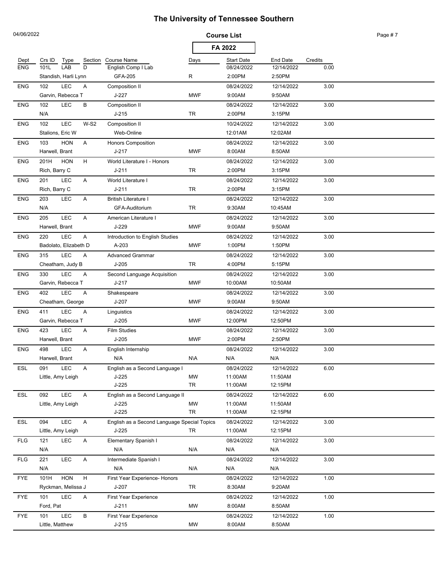| 04/06/2022 |                                                 |                                             |                 | <b>Course List</b> |                    |         | Page #7 |
|------------|-------------------------------------------------|---------------------------------------------|-----------------|--------------------|--------------------|---------|---------|
|            |                                                 |                                             |                 | FA 2022            |                    |         |         |
| Dept       | Crs ID<br>Type                                  | Section Course Name                         | Days            | <b>Start Date</b>  | <b>End Date</b>    | Credits |         |
| <b>ENG</b> | LAB<br>D<br>101L                                | English Comp   Lab                          |                 | 08/24/2022         | 12/14/2022         | 0.00    |         |
|            | Standish, Harli Lynn                            | GFA-205                                     | R               | 2:00PM             | 2:50PM             |         |         |
| <b>ENG</b> | <b>LEC</b><br>102<br>Α                          | Composition II                              |                 | 08/24/2022         | 12/14/2022         | 3.00    |         |
|            | Garvin, Rebecca T                               | J-227                                       | <b>MWF</b>      | 9:00AM             | 9:50AM             |         |         |
| <b>ENG</b> | LEC<br>В<br>102                                 | Composition II                              |                 | 08/24/2022         | 12/14/2022         | 3.00    |         |
|            | N/A                                             | $J-215$                                     | TR              | 2:00PM             | 3:15PM             |         |         |
| <b>ENG</b> | <b>LEC</b><br>102<br>$W-S2$                     | Composition II                              |                 | 10/24/2022         | 12/14/2022         | 3.00    |         |
|            | Stalions, Eric W                                | Web-Online                                  |                 | 12:01AM            | 12:02AM            |         |         |
| <b>ENG</b> | <b>HON</b><br>103<br>Α                          | <b>Honors Composition</b>                   |                 | 08/24/2022         | 12/14/2022         | 3.00    |         |
|            | Harwell, Brant                                  | $J - 217$                                   | <b>MWF</b>      | 8:00AM             | 8:50AM             |         |         |
| <b>ENG</b> | 201H<br><b>HON</b><br>H                         | World Literature I - Honors                 |                 | 08/24/2022         | 12/14/2022         | 3.00    |         |
|            | Rich, Barry C                                   | $J - 211$                                   | <b>TR</b>       | 2:00PM             | 3:15PM             |         |         |
| <b>ENG</b> | LEC<br>A<br>201                                 | World Literature I                          |                 | 08/24/2022         | 12/14/2022         | 3.00    |         |
|            | Rich, Barry C                                   | $J - 211$                                   | TR              | 2:00PM             | 3:15PM             |         |         |
| <b>ENG</b> | LEC<br>A<br>203                                 | <b>British Literature I</b>                 |                 | 08/24/2022         | 12/14/2022         | 3.00    |         |
|            | N/A                                             | GFA-Auditorium                              | TR              | 9:30AM             | 10:45AM            |         |         |
| <b>ENG</b> | <b>LEC</b><br>205<br>Α                          | American Literature I                       |                 | 08/24/2022         | 12/14/2022         | 3.00    |         |
|            | Harwell, Brant                                  | J-229                                       | <b>MWF</b>      | 9:00AM             | 9:50AM             |         |         |
| <b>ENG</b> | LEC<br>A<br>220                                 | Introduction to English Studies             |                 | 08/24/2022         | 12/14/2022         | 3.00    |         |
|            | Badolato, Elizabeth D                           | A-203                                       | <b>MWF</b>      | 1:00PM             | 1:50PM             |         |         |
| <b>ENG</b> | LEC<br>315<br>A                                 | <b>Advanced Grammar</b>                     |                 | 08/24/2022         | 12/14/2022         | 3.00    |         |
|            | Cheatham, Judy B                                | $J-205$                                     | TR              | 4:00PM             | 5:15PM             |         |         |
| <b>ENG</b> | LEC<br>330<br>Α                                 | Second Language Acquisition                 |                 | 08/24/2022         | 12/14/2022         | 3.00    |         |
|            | Garvin, Rebecca T                               | $J - 217$                                   | <b>MWF</b>      | 10:00AM            | 10:50AM            |         |         |
| <b>ENG</b> | LEC<br>402<br>A                                 | Shakespeare                                 |                 | 08/24/2022         | 12/14/2022         | 3.00    |         |
|            | Cheatham, George                                | $J-207$                                     | <b>MWF</b>      | 9:00AM             | 9:50AM             |         |         |
| <b>ENG</b> | LEC<br>411<br>Α                                 | Linguistics                                 |                 | 08/24/2022         | 12/14/2022         | 3.00    |         |
|            | Garvin, Rebecca T                               | $J-205$                                     | <b>MWF</b>      | 12:00PM            | 12:50PM            |         |         |
| <b>ENG</b> | 423<br><b>LEC</b><br>A                          | <b>Film Studies</b>                         |                 | 08/24/2022         | 12/14/2022         | 3.00    |         |
|            | Harwell, Brant                                  | $J-205$                                     | <b>MWF</b>      | 2:00PM             | 2:50PM             |         |         |
| <b>ENG</b> | LEC<br>498<br>Α                                 | English Internship                          |                 | 08/24/2022         | 12/14/2022         | 3.00    |         |
|            | Harwell, Brant                                  | N/A                                         | N\A             | N/A                | N/A                |         |         |
| ESL        | LEC<br>091<br>A                                 | English as a Second Language I              |                 | 08/24/2022         | 12/14/2022         | 6.00    |         |
|            | Little, Amy Leigh                               | J-225<br>J-225                              | <b>MW</b><br>TR | 11:00AM<br>11:00AM | 11:50AM<br>12:15PM |         |         |
| ESL        | LEC<br>092<br>A                                 | English as a Second Language II             |                 | 08/24/2022         | 12/14/2022         | 6.00    |         |
|            | Little, Amy Leigh                               | $J-225$                                     | MW              | 11:00AM            | 11:50AM            |         |         |
|            |                                                 | $J-225$                                     | <b>TR</b>       | 11:00AM            | 12:15PM            |         |         |
| ESL        | LEC<br>094<br>A                                 | English as a Second Language Special Topics |                 | 08/24/2022         | 12/14/2022         | 3.00    |         |
|            | Little, Amy Leigh                               | J-225                                       | TR              | 11:00AM            | 12:15PM            |         |         |
| <b>FLG</b> | LEC<br>121<br>A                                 | Elementary Spanish I                        |                 | 08/24/2022         | 12/14/2022         | 3.00    |         |
|            | N/A                                             | N/A                                         | N/A             | N/A                | N/A                |         |         |
| <b>FLG</b> | <b>LEC</b><br>221<br>Α                          | Intermediate Spanish I                      |                 | 08/24/2022         | 12/14/2022         | 3.00    |         |
|            | N/A                                             | N/A                                         | N/A             | N/A                | N/A                |         |         |
| <b>FYE</b> | <b>HON</b><br>$\boldsymbol{\mathsf{H}}$<br>101H | First Year Experience- Honors               |                 | 08/24/2022         | 12/14/2022         | 1.00    |         |
|            | Ryckman, Melissa J                              | J-207                                       | TR              | 8:30AM             | 9:20AM             |         |         |
| <b>FYE</b> | LEC<br>101<br>Α                                 | First Year Experience                       |                 | 08/24/2022         | 12/14/2022         | 1.00    |         |
|            | Ford, Pat                                       | J-211                                       | MW              | 8:00AM             | 8:50AM             |         |         |
| <b>FYE</b> | <b>LEC</b><br>В<br>101                          | First Year Experience                       |                 | 08/24/2022         | 12/14/2022         | 1.00    |         |
|            | Little, Matthew                                 | $J-215$                                     | MW              | 8:00AM             | 8:50AM             |         |         |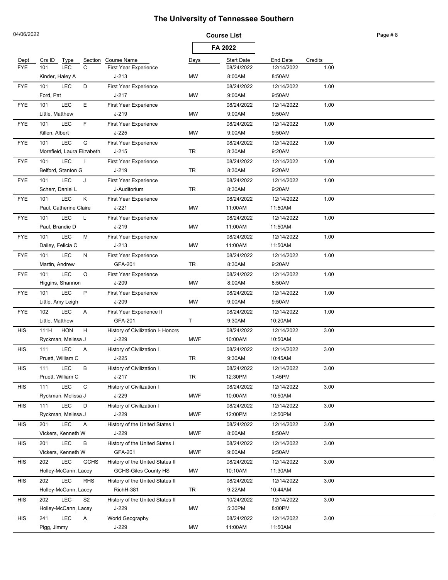| 04/06/2022 |                                   |                                   |            | <b>Course List</b> |                 |         | Page #8 |
|------------|-----------------------------------|-----------------------------------|------------|--------------------|-----------------|---------|---------|
|            |                                   |                                   |            | FA 2022            |                 |         |         |
| Dept       | Crs ID<br>Type<br>Section         | Course Name                       | Days       | <b>Start Date</b>  | <b>End Date</b> | Credits |         |
| <b>FYE</b> | $\mathsf{C}$<br>101<br><b>LEC</b> | <b>First Year Experience</b>      |            | 08/24/2022         | 12/14/2022      | 1.00    |         |
|            | Kinder, Haley A                   | $J-213$                           | MW         | 8:00AM             | 8:50AM          |         |         |
| <b>FYE</b> | <b>LEC</b><br>D<br>101            | <b>First Year Experience</b>      |            | 08/24/2022         | 12/14/2022      | 1.00    |         |
|            | Ford, Pat                         | $J - 217$                         | <b>MW</b>  | 9:00AM             | 9:50AM          |         |         |
| <b>FYE</b> | <b>LEC</b><br>E<br>101            | First Year Experience             |            | 08/24/2022         | 12/14/2022      | 1.00    |         |
|            | Little, Matthew                   | $J - 219$                         | <b>MW</b>  | 9:00AM             | 9:50AM          |         |         |
| <b>FYE</b> | F.<br><b>LEC</b><br>101           | First Year Experience             |            | 08/24/2022         | 12/14/2022      | 1.00    |         |
|            | Killen, Albert                    | $J-225$                           | MW         | 9:00AM             | 9:50AM          |         |         |
| <b>FYE</b> | <b>LEC</b><br>G<br>101            | <b>First Year Experience</b>      |            | 08/24/2022         | 12/14/2022      | 1.00    |         |
|            | Morefield, Laura Elizabeth        | $J-215$                           | TR         | 8:30AM             | 9:20AM          |         |         |
| <b>FYE</b> | LEC<br>101                        | First Year Experience             |            | 08/24/2022         | 12/14/2022      | 1.00    |         |
|            | Belford, Stanton G                | $J-219$                           | TR         | 8:30AM             | 9:20AM          |         |         |
| <b>FYE</b> | <b>LEC</b><br>101<br>J            | <b>First Year Experience</b>      |            | 08/24/2022         | 12/14/2022      | 1.00    |         |
|            | Scherr, Daniel L                  | J-Auditorium                      | TR         | 8:30AM             | 9:20AM          |         |         |
| <b>FYE</b> | LEC<br>Κ<br>101                   | <b>First Year Experience</b>      |            | 08/24/2022         | 12/14/2022      | 1.00    |         |
|            | Paul, Catherine Claire            | J-221                             | MW         | 11:00AM            | 11:50AM         |         |         |
| <b>FYE</b> | <b>LEC</b><br>101<br>L            | First Year Experience             |            | 08/24/2022         | 12/14/2022      | 1.00    |         |
|            | Paul, Brandie D                   | $J-219$                           | MW         | 11:00AM            | 11:50AM         |         |         |
| <b>FYE</b> | LEC<br>101<br>м                   | First Year Experience             |            | 08/24/2022         | 12/14/2022      | 1.00    |         |
|            | Dailey, Felicia C                 | $J-213$                           | <b>MW</b>  | 11:00AM            | 11:50AM         |         |         |
| <b>FYE</b> | <b>LEC</b><br>101<br>N            | First Year Experience             |            | 08/24/2022         | 12/14/2022      | 1.00    |         |
|            | Martin, Andrew                    | GFA-201                           | TR         | 8:30AM             | 9:20AM          |         |         |
| <b>FYE</b> | <b>LEC</b><br>O<br>101            | First Year Experience             |            | 08/24/2022         | 12/14/2022      | 1.00    |         |
|            | Higgins, Shannon                  | J-209                             | MW         | 8:00AM             | 8:50AM          |         |         |
| <b>FYE</b> | <b>LEC</b><br>P<br>101            | First Year Experience             |            | 08/24/2022         | 12/14/2022      | 1.00    |         |
|            | Little, Amy Leigh                 | J-209                             | MW         | 9:00AM             | 9:50AM          |         |         |
| <b>FYE</b> | 102<br><b>LEC</b><br>Α            | First Year Experience II          |            | 08/24/2022         | 12/14/2022      | 1.00    |         |
|            | Little, Matthew                   | GFA-201                           | T          | 9:30AM             | 10:20AM         |         |         |
| <b>HIS</b> | H<br>111H<br><b>HON</b>           | History of Civilization I- Honors |            | 08/24/2022         | 12/14/2022      | 3.00    |         |
|            | Ryckman, Melissa J                | J-229                             | <b>MWF</b> | 10:00AM            | 10:50AM         |         |         |
| <b>HIS</b> | <b>LEC</b><br>111<br>Α            | History of Civilization I         |            | 08/24/2022         | 12/14/2022      | 3.00    |         |
|            | Pruett, William C                 | $J-225$                           | TR         | 9:30AM             | 10:45AM         |         |         |
| HIS        | LEC<br>в<br>111                   | History of Civilization I         |            | 08/24/2022         | 12/14/2022      | 3.00    |         |
|            | Pruett, William C                 | $J-217$                           | TR         | 12:30PM            | 1:45PM          |         |         |
| <b>HIS</b> | LEC<br>$\mathsf{C}$<br>111        | History of Civilization I         |            | 08/24/2022         | 12/14/2022      | 3.00    |         |
|            | Ryckman, Melissa J                | J-229                             | <b>MWF</b> | 10:00AM            | 10:50AM         |         |         |
| <b>HIS</b> | LEC<br>D<br>111                   | History of Civilization I         |            | 08/24/2022         | 12/14/2022      | 3.00    |         |
|            | Ryckman, Melissa J                | J-229                             | <b>MWF</b> | 12:00PM            | 12:50PM         |         |         |
| <b>HIS</b> | <b>LEC</b><br>201<br>Α            | History of the United States I    |            | 08/24/2022         | 12/14/2022      | 3.00    |         |
|            | Vickers, Kenneth W                | J-229                             | <b>MWF</b> | 8:00AM             | 8:50AM          |         |         |
| <b>HIS</b> | LEC<br>201<br>в                   | History of the United States I    |            | 08/24/2022         | 12/14/2022      | 3.00    |         |
|            | Vickers, Kenneth W                | GFA-201                           | <b>MWF</b> | 9:00AM             | 9:50AM          |         |         |
| <b>HIS</b> | LEC<br>202<br><b>GCHS</b>         | History of the United States II   |            | 08/24/2022         | 12/14/2022      | 3.00    |         |
|            | Holley-McCann, Lacey              | <b>GCHS-Giles County HS</b>       | МW         | 10:10AM            | 11:30AM         |         |         |
| <b>HIS</b> | LEC<br><b>RHS</b><br>202          | History of the United States II   |            | 08/24/2022         | 12/14/2022      | 3.00    |         |
|            | Holley-McCann, Lacey              | RichH-381                         | TR         | 9:22AM             | 10:44AM         |         |         |
| <b>HIS</b> | LEC<br>S <sub>2</sub><br>202      | History of the United States II   |            | 10/24/2022         | 12/14/2022      | 3.00    |         |
|            | Holley-McCann, Lacey              | J-229                             | МW         | 5:30PM             | 8:00PM          |         |         |
| <b>HIS</b> | 241<br>LEC<br>A                   | World Geography                   |            | 08/24/2022         | 12/14/2022      | 3.00    |         |
|            | Pigg, Jimmy                       | J-229                             | МW         | 11:00AM            | 11:50AM         |         |         |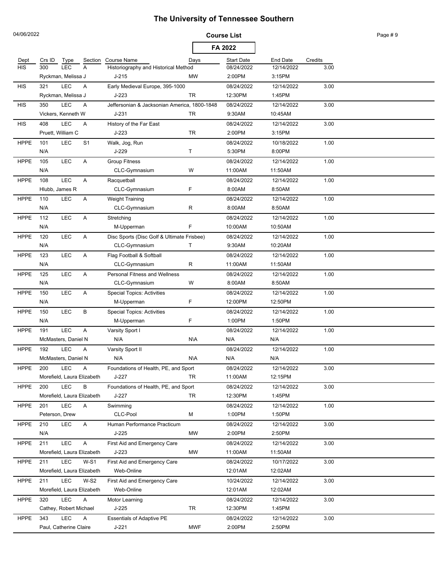|             | 04/06/2022     |                            |                |                                                 | <b>Course List</b> |                       |                       |         | Page #9 |
|-------------|----------------|----------------------------|----------------|-------------------------------------------------|--------------------|-----------------------|-----------------------|---------|---------|
|             |                |                            |                |                                                 |                    | FA 2022               |                       |         |         |
| Dept        | Crs ID         | Type                       | Section        | <b>Course Name</b>                              | Days               | <b>Start Date</b>     | <b>End Date</b>       | Credits |         |
| <b>HIS</b>  | 300            | <b>LEC</b>                 | A              | Historiography and Historical Method            |                    | 08/24/2022            | 12/14/2022            | 3.00    |         |
|             |                | Ryckman, Melissa J         |                | $J-215$                                         | <b>MW</b>          | 2:00PM                | 3:15PM                |         |         |
| <b>HIS</b>  | 321            | <b>LEC</b>                 | Α              | Early Medieval Europe, 395-1000                 |                    | 08/24/2022            | 12/14/2022            | 3.00    |         |
|             |                | Ryckman, Melissa J         |                | $J-223$                                         | <b>TR</b>          | 12:30PM               | 1:45PM                |         |         |
| <b>HIS</b>  | 350            | <b>LEC</b>                 | Α              | Jeffersonian & Jacksonian America, 1800-1848    |                    | 08/24/2022            | 12/14/2022            | 3.00    |         |
|             |                | Vickers. Kenneth W         |                | $J - 231$                                       | TR                 | 9:30AM                | 10:45AM               |         |         |
| <b>HIS</b>  | 408            | <b>LEC</b>                 | Α              | History of the Far East                         |                    | 08/24/2022            | 12/14/2022            | 3.00    |         |
|             |                | Pruett, William C          |                | $J-223$                                         | TR                 | 2:00PM                | 3:15PM                |         |         |
| <b>HPPE</b> | 101            | <b>LEC</b>                 | S <sub>1</sub> | Walk, Jog, Run                                  |                    | 08/24/2022            | 10/18/2022            | 1.00    |         |
|             | N/A            |                            |                | J-229                                           | T                  | 5:30PM                | 8:00PM                |         |         |
| <b>HPPE</b> | 105            | <b>LEC</b>                 | Α              | <b>Group Fitness</b>                            |                    | 08/24/2022            | 12/14/2022            | 1.00    |         |
|             | N/A            |                            |                | CLC-Gymnasium                                   | W                  | 11:00AM               | 11:50AM               |         |         |
| <b>HPPE</b> | 108            | LEC                        | Α              | Racquetball                                     |                    | 08/24/2022            | 12/14/2022            | 1.00    |         |
|             | Hlubb, James R |                            |                | CLC-Gymnasium                                   | F                  | 8:00AM                | 8:50AM                |         |         |
| <b>HPPE</b> | 110            | <b>LEC</b>                 | A              | <b>Weight Training</b>                          |                    | 08/24/2022            | 12/14/2022            | 1.00    |         |
|             | N/A            |                            |                | CLC-Gymnasium                                   | R                  | 8:00AM                | 8:50AM                |         |         |
| <b>HPPE</b> | 112            | <b>LEC</b>                 | Α              | Stretching                                      |                    | 08/24/2022            | 12/14/2022            | 1.00    |         |
|             | N/A            |                            |                | M-Upperman                                      | F                  | 10:00AM               | 10:50AM               |         |         |
| <b>HPPE</b> | 120            | <b>LEC</b>                 | А              | Disc Sports (Disc Golf & Ultimate Frisbee)      |                    | 08/24/2022            | 12/14/2022            | 1.00    |         |
|             | N/A            |                            |                | CLC-Gymnasium                                   | T                  | 9:30AM                | 10:20AM               |         |         |
| <b>HPPE</b> | 123            | <b>LEC</b>                 | Α              | Flag Football & Softball                        |                    | 08/24/2022            | 12/14/2022            | 1.00    |         |
|             | N/A            |                            |                | CLC-Gymnasium                                   | R                  | 11:00AM               | 11:50AM               |         |         |
| <b>HPPE</b> | 125            | <b>LEC</b>                 | Α              | <b>Personal Fitness and Wellness</b>            |                    | 08/24/2022            | 12/14/2022            | 1.00    |         |
|             | N/A            |                            |                | CLC-Gymnasium                                   | W                  | 8:00AM                | 8:50AM                |         |         |
| <b>HPPE</b> | 150<br>N/A     | <b>LEC</b>                 | Α              | <b>Special Topics: Activities</b>               | F                  | 08/24/2022<br>12:00PM | 12/14/2022<br>12:50PM | 1.00    |         |
| <b>HPPE</b> | 150            | <b>LEC</b>                 | В              | M-Upperman<br><b>Special Topics: Activities</b> |                    | 08/24/2022            | 12/14/2022            | 1.00    |         |
|             | N/A            |                            |                | M-Upperman                                      | F                  | 1:00PM                | 1:50PM                |         |         |
| <b>HPPE</b> | 191            | <b>LEC</b>                 | Α              |                                                 |                    | 08/24/2022            | 12/14/2022            | 1.00    |         |
|             |                | McMasters, Daniel N        |                | Varsity Sport I<br>N/A                          | N\A                | N/A                   | N/A                   |         |         |
| <b>HPPE</b> | 192            | <b>LEC</b>                 |                | Varsity Sport II                                |                    | 08/24/2022            | 12/14/2022            | 1.00    |         |
|             |                | McMasters, Daniel N        | Α              | N/A                                             | N\A                | N/A                   | N/A                   |         |         |
|             | 200            | LEC                        | A              | Foundations of Health, PE, and Sport            |                    |                       | 12/14/2022            |         |         |
| <b>HPPE</b> |                | Morefield, Laura Elizabeth |                | $J-227$                                         | TR                 | 08/24/2022<br>11:00AM | 12:15PM               | 3.00    |         |
| <b>HPPE</b> | 200            | LEC                        | В              | Foundations of Health, PE, and Sport            |                    | 08/24/2022            | 12/14/2022            | 3.00    |         |
|             |                | Morefield, Laura Elizabeth |                | $J-227$                                         | TR                 | 12:30PM               | 1:45PM                |         |         |
| <b>HPPE</b> | 201            | LEC                        | A              | Swimming                                        |                    | 08/24/2022            | 12/14/2022            | 1.00    |         |
|             | Peterson, Drew |                            |                | CLC-Pool                                        | М                  | 1:00PM                | 1:50PM                |         |         |
| <b>HPPE</b> | 210            | <b>LEC</b>                 | Α              | Human Performance Practicum                     |                    | 08/24/2022            | 12/14/2022            | 3.00    |         |
|             | N/A            |                            |                | $J-225$                                         | MW                 | 2:00PM                | 2:50PM                |         |         |
| <b>HPPE</b> | 211            | <b>LEC</b>                 | A              | First Aid and Emergency Care                    |                    | 08/24/2022            | 12/14/2022            | 3.00    |         |
|             |                | Morefield, Laura Elizabeth |                | $J-223$                                         | MW                 | 11:00AM               | 11:50AM               |         |         |
| <b>HPPE</b> | 211            | <b>LEC</b>                 | $W-S1$         | First Aid and Emergency Care                    |                    | 08/24/2022            | 10/17/2022            | 3.00    |         |
|             |                | Morefield, Laura Elizabeth |                | Web-Online                                      |                    | 12:01AM               | 12:02AM               |         |         |
| <b>HPPE</b> | 211            | LEC                        | $W-S2$         | First Aid and Emergency Care                    |                    | 10/24/2022            | 12/14/2022            | 3.00    |         |
|             |                | Morefield, Laura Elizabeth |                | Web-Online                                      |                    | 12:01AM               | 12:02AM               |         |         |
| <b>HPPE</b> | 320            | <b>LEC</b>                 | Α              | Motor Learning                                  |                    | 08/24/2022            | 12/14/2022            | 3.00    |         |
|             |                | Cathey, Robert Michael     |                | J-225                                           | TR                 | 12:30PM               | 1:45PM                |         |         |
| <b>HPPE</b> | 343            | <b>LEC</b>                 | Α              | <b>Essentials of Adaptive PE</b>                |                    | 08/24/2022            | 12/14/2022            | 3.00    |         |
|             |                | Paul, Catherine Claire     |                | $J-221$                                         | <b>MWF</b>         | 2:00PM                | 2:50PM                |         |         |
|             |                |                            |                |                                                 |                    |                       |                       |         |         |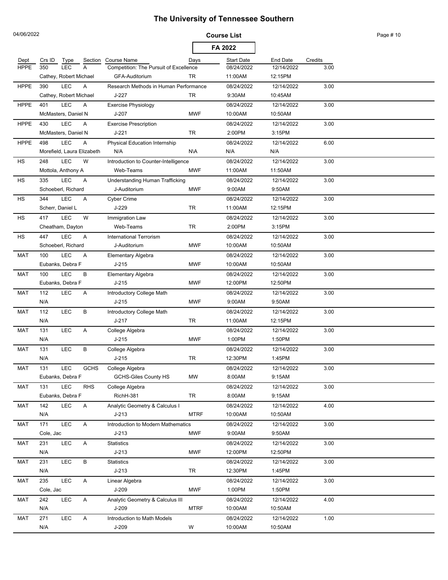| 04/06/2022  |           |                                          |             |                                                 |             | <b>Course List</b>    |                       |         | Page # 10 |
|-------------|-----------|------------------------------------------|-------------|-------------------------------------------------|-------------|-----------------------|-----------------------|---------|-----------|
|             |           |                                          |             |                                                 |             | FA 2022               |                       |         |           |
| Dept        | Crs ID    | Type                                     | Section     | Course Name                                     | Days        | <b>Start Date</b>     | <b>End Date</b>       | Credits |           |
| <b>HPPE</b> | 350       | <b>LEC</b>                               | A           | Competition: The Pursuit of Excellence          |             | 08/24/2022            | 12/14/2022            | 3.00    |           |
|             |           | Cathey, Robert Michael                   |             | GFA-Auditorium                                  | TR          | 11:00AM               | 12:15PM               |         |           |
| <b>HPPE</b> | 390       | <b>LEC</b>                               | A           | Research Methods in Human Performance           |             | 08/24/2022            | 12/14/2022            | 3.00    |           |
|             |           | Cathey, Robert Michael                   |             | J-227                                           | TR          | 9:30AM                | 10:45AM               |         |           |
| <b>HPPE</b> | 401       | <b>LEC</b>                               | Α           | <b>Exercise Physiology</b><br>$J-207$           | <b>MWF</b>  | 08/24/2022            | 12/14/2022<br>10:50AM | 3.00    |           |
|             |           | McMasters, Daniel N                      |             |                                                 |             | 10:00AM               |                       |         |           |
| <b>HPPE</b> | 430       | <b>LEC</b><br>McMasters, Daniel N        | A           | <b>Exercise Prescription</b><br>$J - 221$       | TR          | 08/24/2022<br>2:00PM  | 12/14/2022<br>3:15PM  | 3.00    |           |
|             |           |                                          |             |                                                 |             |                       |                       |         |           |
| <b>HPPE</b> | 498       | <b>LEC</b><br>Morefield, Laura Elizabeth | Α           | Physical Education Internship<br>N/A            | N\A         | 08/24/2022<br>N/A     | 12/14/2022<br>N/A     | 6.00    |           |
| HS          | 248       | LEC                                      | W           | Introduction to Counter-Intelligence            |             | 08/24/2022            | 12/14/2022            | 3.00    |           |
|             |           | Mottola, Anthony A                       |             | Web-Teams                                       | <b>MWF</b>  | 11:00AM               | 11:50AM               |         |           |
| HS          | 335       | <b>LEC</b>                               | Α           |                                                 |             | 08/24/2022            | 12/14/2022            | 3.00    |           |
|             |           | Schoeberl, Richard                       |             | Understanding Human Trafficking<br>J-Auditorium | <b>MWF</b>  | 9:00AM                | 9:50AM                |         |           |
|             | 344       | <b>LEC</b>                               |             |                                                 |             |                       |                       |         |           |
| HS          |           | Scherr, Daniel L                         | Α           | <b>Cyber Crime</b><br>J-229                     | TR          | 08/24/2022<br>11:00AM | 12/14/2022<br>12:15PM | 3.00    |           |
|             |           |                                          |             |                                                 |             |                       |                       |         |           |
| HS          | 417       | <b>LEC</b>                               | W           | Immigration Law<br>Web-Teams                    |             | 08/24/2022            | 12/14/2022            | 3.00    |           |
|             |           | Cheatham, Dayton                         |             |                                                 | TR          | 2:00PM                | 3:15PM                |         |           |
| HS          | 447       | <b>LEC</b>                               | A           | <b>International Terrorism</b>                  |             | 08/24/2022            | 12/14/2022            | 3.00    |           |
|             |           | Schoeberl, Richard                       |             | J-Auditorium                                    | <b>MWF</b>  | 10:00AM               | 10:50AM               |         |           |
| <b>MAT</b>  | 100       | <b>LEC</b>                               | Α           | Elementary Algebra                              |             | 08/24/2022            | 12/14/2022            | 3.00    |           |
|             |           | Eubanks, Debra F                         |             | $J-215$                                         | <b>MWF</b>  | 10:00AM               | 10:50AM               |         |           |
| <b>MAT</b>  | 100       | LEC                                      | В           | Elementary Algebra                              |             | 08/24/2022            | 12/14/2022            | 3.00    |           |
|             |           | Eubanks, Debra F                         |             | $J-215$                                         | <b>MWF</b>  | 12:00PM               | 12:50PM               |         |           |
| <b>MAT</b>  | 112       | <b>LEC</b>                               | Α           | Introductory College Math                       |             | 08/24/2022            | 12/14/2022            | 3.00    |           |
|             | N/A       |                                          |             | $J-215$                                         | <b>MWF</b>  | 9:00AM                | 9:50AM                |         |           |
| <b>MAT</b>  | 112       | <b>LEC</b>                               | В           | Introductory College Math                       |             | 08/24/2022            | 12/14/2022            | 3.00    |           |
|             | N/A       |                                          |             | $J - 217$                                       | TR          | 11:00AM               | 12:15PM               |         |           |
| MAT         | 131       | <b>LEC</b>                               | Α           | College Algebra                                 |             | 08/24/2022            | 12/14/2022            | 3.00    |           |
|             | N/A       |                                          |             | $J-215$                                         | <b>MWF</b>  | 1:00PM                | 1:50PM                |         |           |
| <b>MAT</b>  | 131       | <b>LEC</b>                               | В           | College Algebra                                 |             | 08/24/2022            | 12/14/2022            | 3.00    |           |
|             | N/A       |                                          |             | $J-215$                                         | TR          | 12:30PM               | 1:45PM                |         |           |
| MAT         | 131       | <b>LEC</b>                               | <b>GCHS</b> | College Algebra                                 |             | 08/24/2022            | 12/14/2022            | 3.00    |           |
|             |           | Eubanks, Debra F                         |             | <b>GCHS-Giles County HS</b>                     | <b>MW</b>   | 8:00AM                | 9:15AM                |         |           |
| <b>MAT</b>  | 131       | LEC                                      | <b>RHS</b>  | College Algebra                                 |             | 08/24/2022            | 12/14/2022            | 3.00    |           |
|             |           | Eubanks, Debra F                         |             | RichH-381                                       | TR          | 8:00AM                | 9:15AM                |         |           |
| MAT         | 142       | LEC                                      | Α           | Analytic Geometry & Calculus I                  |             | 08/24/2022            | 12/14/2022            | 4.00    |           |
|             | N/A       |                                          |             | $J-213$                                         | <b>MTRF</b> | 10:00AM               | 10:50AM               |         |           |
| MAT         | 171       | LEC                                      | A           | Introduction to Modern Mathematics              |             | 08/24/2022            | 12/14/2022            | 3.00    |           |
|             | Cole, Jac |                                          |             | $J-213$                                         | <b>MWF</b>  | 9:00AM                | 9:50AM                |         |           |
| MAT         | 231       | LEC                                      | A           | Statistics                                      |             | 08/24/2022            | 12/14/2022            | 3.00    |           |
|             | N/A       |                                          |             | $J-213$                                         | <b>MWF</b>  | 12:00PM               | 12:50PM               |         |           |
| MAT         | 231       | LEC                                      | В           | Statistics                                      |             | 08/24/2022            | 12/14/2022            | 3.00    |           |
|             | N/A       |                                          |             | $J-213$                                         | TR          | 12:30PM               | 1:45PM                |         |           |
| MAT         | 235       | LEC                                      | A           | Linear Algebra                                  |             | 08/24/2022            | 12/14/2022            | 3.00    |           |
|             | Cole, Jac |                                          |             | $J-209$                                         | <b>MWF</b>  | 1:00PM                | 1:50PM                |         |           |
| MAT         | 242       | LEC                                      | A           | Analytic Geometry & Calculus III                |             | 08/24/2022            | 12/14/2022            | 4.00    |           |
|             | N/A       |                                          |             | $J-209$                                         | <b>MTRF</b> | 10:00AM               | 10:50AM               |         |           |
| MAT         | 271       | <b>LEC</b>                               | A           | Introduction to Math Models                     |             | 08/24/2022            | 12/14/2022            | 1.00    |           |
|             | N/A       |                                          |             | $J-209$                                         | W           | 10:00AM               | 10:50AM               |         |           |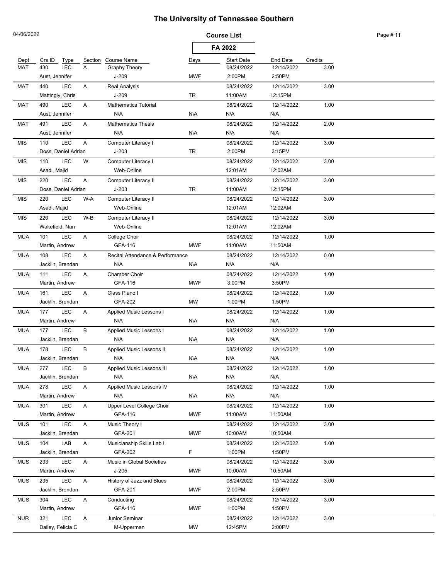| 04/06/2022 |                                |              |                                      | <b>Course List</b> |                       |                       |         | Page #11 |
|------------|--------------------------------|--------------|--------------------------------------|--------------------|-----------------------|-----------------------|---------|----------|
|            |                                |              |                                      |                    | FA 2022               |                       |         |          |
| Dept       | Crs ID<br><b>Type</b>          | Section      | <b>Course Name</b>                   | Days               | <b>Start Date</b>     | <b>End Date</b>       | Credits |          |
| <b>MAT</b> | 430<br><b>LEC</b>              | A            | Graphy Theory                        |                    | 08/24/2022            | 12/14/2022            | 3.00    |          |
|            | Aust, Jennifer                 |              | $J-209$                              | <b>MWF</b>         | 2:00PM                | 2:50PM                |         |          |
| MAT        | <b>LEC</b><br>440              | Α            | <b>Real Analysis</b>                 |                    | 08/24/2022            | 12/14/2022            | 3.00    |          |
|            | Mattingly, Chris               |              | $J-209$                              | TR                 | 11:00AM               | 12:15PM               |         |          |
| MAT        | <b>LEC</b><br>490              | Α            | <b>Mathematics Tutorial</b>          |                    | 08/24/2022            | 12/14/2022            | 1.00    |          |
|            | Aust, Jennifer                 |              | N/A                                  | N\A                | N/A                   | N/A                   |         |          |
| <b>MAT</b> | <b>LEC</b><br>491              | Α            | <b>Mathematics Thesis</b>            |                    | 08/24/2022            | 12/14/2022            | 2.00    |          |
|            | Aust, Jennifer                 |              | N/A                                  | N\A                | N/A                   | N/A                   |         |          |
| MIS        | LEC<br>110                     | A            | Computer Literacy I                  |                    | 08/24/2022            | 12/14/2022            | 3.00    |          |
|            | Doss, Daniel Adrian            |              | $J-203$                              | TR                 | 2:00PM                | 3:15PM                |         |          |
| MIS        | LEC<br>110                     | W            | Computer Literacy I                  |                    | 08/24/2022            | 12/14/2022            | 3.00    |          |
|            | Asadi, Majid                   |              | Web-Online                           |                    | 12:01AM               | 12:02AM               |         |          |
| MIS        | LEC<br>220                     | A            | Computer Literacy II                 |                    | 08/24/2022            | 12/14/2022            | 3.00    |          |
|            | Doss, Daniel Adrian            |              | $J-203$                              | TR                 | 11:00AM               | 12:15PM               |         |          |
| MIS        | LEC<br>220                     | W-A          | Computer Literacy II                 |                    | 08/24/2022            | 12/14/2022            | 3.00    |          |
|            | Asadi, Majid                   |              | Web-Online                           |                    | 12:01AM               | 12:02AM               |         |          |
| MIS        | <b>LEC</b><br>220              | W-B          | Computer Literacy II                 |                    | 08/24/2022            | 12/14/2022            | 3.00    |          |
|            | Wakefield, Nan                 |              | Web-Online                           |                    | 12:01AM               | 12:02AM               |         |          |
| <b>MUA</b> | <b>LEC</b><br>101              | Α            | College Choir                        |                    | 08/24/2022            | 12/14/2022            | 1.00    |          |
|            | Martin, Andrew                 |              | GFA-116                              | <b>MWF</b>         | 11:00AM               | 11:50AM               |         |          |
| <b>MUA</b> | LEC<br>108                     | A            | Recital Attendance & Performance     |                    | 08/24/2022            | 12/14/2022            | 0.00    |          |
|            | Jacklin, Brendan               |              | N/A                                  | <b>N\A</b>         | N/A                   | N/A                   |         |          |
| <b>MUA</b> | <b>LEC</b><br>111              | A            | <b>Chamber Choir</b>                 |                    | 08/24/2022            | 12/14/2022            | 1.00    |          |
|            | Martin, Andrew                 |              | GFA-116                              | <b>MWF</b>         | 3:00PM                | 3:50PM                |         |          |
| <b>MUA</b> | LEC<br>161                     | Α            | Class Piano I                        |                    | 08/24/2022            | 12/14/2022            | 1.00    |          |
|            | Jacklin, Brendan               |              | GFA-202                              | <b>MW</b>          | 1:00PM                | 1:50PM                |         |          |
| <b>MUA</b> | LEC<br>177                     | A            | Applied Music Lessons I              |                    | 08/24/2022            | 12/14/2022            | 1.00    |          |
|            | Martin, Andrew                 |              | N/A                                  | <b>N\A</b>         | N/A                   | N/A                   |         |          |
| <b>MUA</b> | LEC<br>177                     | В            | Applied Music Lessons I              |                    | 08/24/2022            | 12/14/2022            | 1.00    |          |
|            | Jacklin, Brendan               |              | N/A                                  | N\A                | N/A                   | N/A                   |         |          |
| <b>MUA</b> | <b>LEC</b><br>178              | B            | Applied Music Lessons II             |                    | 08/24/2022            | 12/14/2022            | 1.00    |          |
|            | Jacklin, Brendan               |              | N/A                                  | N\A                | N/A                   | N/A                   |         |          |
| MUA        | LEC<br>277                     | В            | Applied Music Lessons III            |                    | 08/24/2022            | 12/14/2022            | 1.00    |          |
|            | Jacklin, Brendan               |              | N/A                                  | N\A                | N/A                   | N/A                   |         |          |
| <b>MUA</b> | LEC<br>278                     | $\mathsf{A}$ | Applied Music Lessons IV             |                    | 08/24/2022            | 12/14/2022            | 1.00    |          |
|            | Martin, Andrew                 |              | N/A                                  | N\A                | N/A                   | N/A                   |         |          |
| <b>MUA</b> | LEC<br>301                     | A            | Upper Level College Choir            |                    | 08/24/2022            | 12/14/2022            | 1.00    |          |
|            | Martin, Andrew                 |              | GFA-116                              | <b>MWF</b>         | 11:00AM               | 11:50AM               |         |          |
| <b>MUS</b> | <b>LEC</b><br>101              | A            | Music Theory I                       |                    | 08/24/2022            | 12/14/2022            | 3.00    |          |
|            | Jacklin, Brendan               |              | GFA-201                              | <b>MWF</b>         | 10:00AM               | 10:50AM               |         |          |
| <b>MUS</b> | 104<br>LAB                     | A            | Musicianship Skills Lab I            |                    | 08/24/2022            | 12/14/2022            | 1.00    |          |
|            | Jacklin, Brendan               |              | <b>GFA-202</b>                       | F                  | 1:00PM                | 1:50PM                |         |          |
|            | LEC<br>233                     |              |                                      |                    |                       |                       |         |          |
| <b>MUS</b> | Martin, Andrew                 | A            | Music in Global Societies<br>$J-205$ | <b>MWF</b>         | 08/24/2022<br>10:00AM | 12/14/2022<br>10:50AM | 3.00    |          |
|            |                                |              |                                      |                    |                       |                       |         |          |
| <b>MUS</b> | LEC<br>235<br>Jacklin, Brendan | A            | History of Jazz and Blues<br>GFA-201 | <b>MWF</b>         | 08/24/2022<br>2:00PM  | 12/14/2022<br>2:50PM  | 3.00    |          |
|            |                                |              |                                      |                    |                       |                       |         |          |
| <b>MUS</b> | LEC<br>304                     | A            | Conducting                           | <b>MWF</b>         | 08/24/2022<br>1:00PM  | 12/14/2022            | 3.00    |          |
|            | Martin, Andrew                 |              | GFA-116                              |                    |                       | 1:50PM                |         |          |
| <b>NUR</b> | LEC<br>321                     | $\mathsf{A}$ | Junior Seminar                       |                    | 08/24/2022            | 12/14/2022            | 3.00    |          |
|            | Dailey, Felicia C              |              | M-Upperman                           | MW                 | 12:45PM               | 2:00PM                |         |          |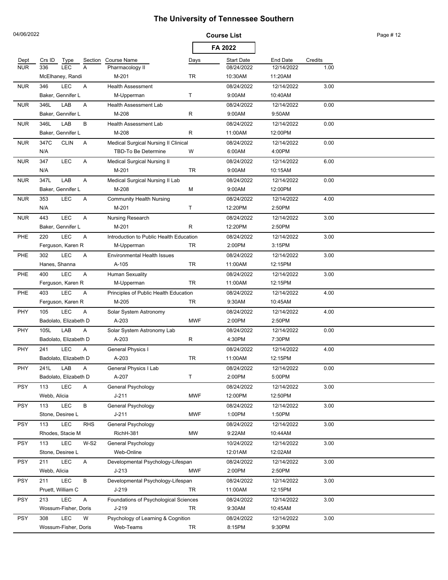| 04/06/2022 |                                        |                                                 |            | <b>Course List</b>   |                       |         | Page #12 |
|------------|----------------------------------------|-------------------------------------------------|------------|----------------------|-----------------------|---------|----------|
|            |                                        |                                                 |            | FA 2022              |                       |         |          |
| Dept       | Crs ID<br>Type<br>Section              | <b>Course Name</b>                              | Days       | <b>Start Date</b>    | End Date              | Credits |          |
| <b>NUR</b> | <b>LEC</b><br>A<br>336                 | Pharmacology II                                 |            | 08/24/2022           | 12/14/2022            | 1.00    |          |
|            | McElhaney, Randi                       | M-201                                           | TR         | 10:30AM              | 11:20AM               |         |          |
| <b>NUR</b> | LEC<br>346<br>Α                        | <b>Health Assessment</b>                        |            | 08/24/2022           | 12/14/2022            | 3.00    |          |
|            | Baker, Gennifer L                      | M-Upperman                                      | т          | 9:00AM               | 10:40AM               |         |          |
| <b>NUR</b> | 346L<br>LAB<br>Α                       | <b>Health Assessment Lab</b>                    |            | 08/24/2022           | 12/14/2022            | 0.00    |          |
|            | Baker, Gennifer L                      | M-208                                           | R          | 9:00AM               | 9:50AM                |         |          |
| <b>NUR</b> | LAB<br>В<br>346L                       | <b>Health Assessment Lab</b>                    |            | 08/24/2022           | 12/14/2022            | 0.00    |          |
|            | Baker, Gennifer L                      | M-208                                           | R          | 11:00AM              | 12:00PM               |         |          |
| <b>NUR</b> | 347C<br><b>CLIN</b><br>Α               | Medical Surgical Nursing II Clinical            |            | 08/24/2022           | 12/14/2022            | 0.00    |          |
|            | N/A                                    | TBD-To Be Determine                             | W          | 6:00AM               | 4:00PM                |         |          |
| <b>NUR</b> | <b>LEC</b><br>347<br>Α                 | <b>Medical Surgical Nursing II</b>              |            | 08/24/2022           | 12/14/2022            | 6.00    |          |
|            | N/A                                    | M-201                                           | TR         | 9:00AM               | 10:15AM               |         |          |
| <b>NUR</b> | LAB<br>347L<br>Α                       | Medical Surgical Nursing II Lab                 |            | 08/24/2022           | 12/14/2022            | 0.00    |          |
|            | Baker, Gennifer L                      | M-208                                           | M          | 9:00AM               | 12:00PM               |         |          |
| <b>NUR</b> | LEC<br>A<br>353                        | <b>Community Health Nursing</b>                 |            | 08/24/2022           | 12/14/2022            | 4.00    |          |
|            | N/A                                    | M-201                                           | т          | 12:20PM              | 2:50PM                |         |          |
| <b>NUR</b> | LEC<br>443<br>Α                        | Nursing Research                                |            | 08/24/2022           | 12/14/2022            | 3.00    |          |
|            | Baker, Gennifer L                      | M-201                                           | R          | 12:20PM              | 2:50PM                |         |          |
| <b>PHE</b> | LEC<br>220<br>Α                        | Introduction to Public Health Education         |            | 08/24/2022           | 12/14/2022            | 3.00    |          |
|            | Ferguson, Karen R                      | M-Upperman                                      | TR         | 2:00PM               | 3:15PM                |         |          |
| PHE        | LEC<br>302<br>Α                        | <b>Environmental Health Issues</b>              |            | 08/24/2022           | 12/14/2022            | 3.00    |          |
|            | Hanes, Shanna                          | A-105                                           | TR         | 11:00AM              | 12:15PM               |         |          |
| <b>PHE</b> | <b>LEC</b><br>A<br>400                 | Human Sexuality                                 |            | 08/24/2022           | 12/14/2022            | 3.00    |          |
|            | Ferguson, Karen R                      | M-Upperman                                      | TR         | 11:00AM              | 12:15PM               |         |          |
| <b>PHE</b> | LEC<br>403<br>Α                        | Principles of Public Health Education           |            | 08/24/2022           | 12/14/2022            | 4.00    |          |
|            | Ferguson, Karen R                      | M-205                                           | TR         | 9:30AM               | 10:45AM               |         |          |
| PHY        | LEC<br>105<br>A                        | Solar System Astronomy                          |            | 08/24/2022           | 12/14/2022            | 4.00    |          |
|            | Badolato, Elizabeth D                  | A-203                                           | <b>MWF</b> | 2:00PM               | 2:50PM                |         |          |
| <b>PHY</b> | LAB<br>105L<br>Α                       | Solar System Astronomy Lab                      |            | 08/24/2022           | 12/14/2022            | 0.00    |          |
|            | Badolato, Elizabeth D                  | A-203                                           | R          | 4:30PM               | 7:30PM                |         |          |
| PHY        | <b>LEC</b><br>241<br>Α                 | General Physics I                               |            | 08/24/2022           | 12/14/2022            | 4.00    |          |
|            | Badolato, Elizabeth D                  | A-203                                           | TR         | 11:00AM              | 12:15PM               |         |          |
| <b>PHY</b> | 241L<br>LAB<br>Α                       | General Physics I Lab                           |            | 08/24/2022           | 12/14/2022            | 0.00    |          |
|            | Badolato, Elizabeth D                  | A-207                                           | T          | 2:00PM               | 5:00PM                |         |          |
| <b>PSY</b> | LEC<br>113<br>Α                        | General Psychology                              |            | 08/24/2022           | 12/14/2022            | 3.00    |          |
|            | Webb, Alicia                           | $J - 211$                                       | <b>MWF</b> | 12:00PM              | 12:50PM               |         |          |
| <b>PSY</b> | LEC<br>113<br>B                        | General Psychology                              |            | 08/24/2022           | 12/14/2022            | 3.00    |          |
|            | Stone, Desiree L                       | $J - 211$                                       | <b>MWF</b> | 1:00PM               | 1:50PM                |         |          |
| <b>PSY</b> | <b>LEC</b><br><b>RHS</b><br>113        | General Psychology                              |            | 08/24/2022           | 12/14/2022            | 3.00    |          |
|            | Rhodes, Stacie M                       | RichH-381                                       | <b>MW</b>  | 9:22AM               | 10:44AM               |         |          |
| <b>PSY</b> | <b>LEC</b><br>$W-S2$<br>113            | General Psychology                              |            | 10/24/2022           | 12/14/2022            | 3.00    |          |
|            | Stone, Desiree L                       | Web-Online                                      |            | 12:01AM              | 12:02AM               |         |          |
|            |                                        |                                                 |            |                      |                       |         |          |
| <b>PSY</b> | <b>LEC</b><br>211<br>Α<br>Webb, Alicia | Developmental Psychology-Lifespan<br>$J-213$    | <b>MWF</b> | 08/24/2022<br>2:00PM | 12/14/2022<br>2:50PM  | 3.00    |          |
| <b>PSY</b> | LEC<br>B<br>211                        | Developmental Psychology-Lifespan               |            | 08/24/2022           | 12/14/2022            | 3.00    |          |
|            | Pruett, William C                      | J-219                                           | TR         | 11:00AM              | 12:15PM               |         |          |
|            | LEC                                    |                                                 |            |                      |                       |         |          |
| <b>PSY</b> | 213<br>Α<br>Wossum-Fisher, Doris       | Foundations of Psychological Sciences<br>J-219  | TR         | 08/24/2022<br>9:30AM | 12/14/2022<br>10:45AM | 3.00    |          |
|            | LEC<br>W                               |                                                 |            |                      |                       |         |          |
| <b>PSY</b> | 308<br>Wossum-Fisher, Doris            | Psychology of Learning & Cognition<br>Web-Teams |            | 08/24/2022<br>8:15PM | 12/14/2022<br>9:30PM  | 3.00    |          |
|            |                                        |                                                 | TR         |                      |                       |         |          |

04/06/2022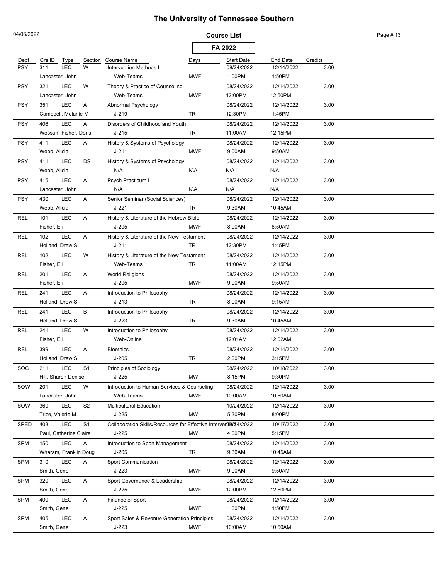| 04/06/2022  |                                     |                                                                 | <b>Course List</b> |                   |                 |         | Page #13 |
|-------------|-------------------------------------|-----------------------------------------------------------------|--------------------|-------------------|-----------------|---------|----------|
|             |                                     |                                                                 |                    | FA 2022           |                 |         |          |
| Dept        | Crs ID<br>Type<br>Section           | <b>Course Name</b>                                              | Days               | <b>Start Date</b> | <b>End Date</b> | Credits |          |
| <b>PSY</b>  | <b>LEC</b><br>W<br>311              | Intervention Methods I                                          |                    | 08/24/2022        | 12/14/2022      | 3.00    |          |
|             | Lancaster, John                     | Web-Teams                                                       | <b>MWF</b>         | 1:00PM            | 1:50PM          |         |          |
| <b>PSY</b>  | LEC<br>W<br>321                     | Theory & Practice of Counseling                                 |                    | 08/24/2022        | 12/14/2022      | 3.00    |          |
|             | Lancaster, John                     | Web-Teams                                                       | <b>MWF</b>         | 12:00PM           | 12:50PM         |         |          |
| <b>PSY</b>  | <b>LEC</b><br>351<br>Α              | Abnormal Psychology                                             |                    | 08/24/2022        | 12/14/2022      | 3.00    |          |
|             | Campbell, Melanie M                 | J-219                                                           | <b>TR</b>          | 12:30PM           | 1:45PM          |         |          |
| <b>PSY</b>  | LEC<br>406<br>Α                     | Disorders of Childhood and Youth                                |                    | 08/24/2022        | 12/14/2022      | 3.00    |          |
|             | Wossum-Fisher, Doris                | $J-215$                                                         | TR                 | 11:00AM           | 12:15PM         |         |          |
| <b>PSY</b>  | 411<br><b>LEC</b><br>Α              | History & Systems of Psychology                                 |                    | 08/24/2022        | 12/14/2022      | 3.00    |          |
|             | Webb, Alicia                        | $J - 211$                                                       | <b>MWF</b>         | 9:00AM            | 9:50AM          |         |          |
| <b>PSY</b>  | <b>LEC</b><br>411<br>DS             | History & Systems of Psychology                                 |                    | 08/24/2022        | 12/14/2022      | 3.00    |          |
|             | Webb, Alicia                        | N/A                                                             | N\A                | N/A               | N/A             |         |          |
| <b>PSY</b>  | <b>LEC</b><br>A<br>415              | Psych Practicum I                                               |                    | 08/24/2022        | 12/14/2022      | 3.00    |          |
|             | Lancaster, John                     | N/A                                                             | N\A                | N/A               | N/A             |         |          |
| <b>PSY</b>  | <b>LEC</b><br>A<br>430              | Senior Seminar (Social Sciences)                                |                    | 08/24/2022        | 12/14/2022      | 3.00    |          |
|             | Webb, Alicia                        | $J-221$                                                         | TR                 | 9:30AM            | 10:45AM         |         |          |
| <b>REL</b>  | <b>LEC</b><br>101<br>Α              | History & Literature of the Hebrew Bible                        |                    | 08/24/2022        | 12/14/2022      | 3.00    |          |
|             | Fisher, Eli                         | $J-205$                                                         | <b>MWF</b>         | 8:00AM            | 8:50AM          |         |          |
| REL         | <b>LEC</b><br>102<br>Α              | History & Literature of the New Testament                       |                    | 08/24/2022        | 12/14/2022      | 3.00    |          |
|             | Holland, Drew S                     | J-211                                                           | TR                 | 12:30PM           | 1:45PM          |         |          |
| REL         | <b>LEC</b><br>W<br>102              | History & Literature of the New Testament                       |                    | 08/24/2022        | 12/14/2022      | 3.00    |          |
|             | Fisher, Eli                         | Web-Teams                                                       | TR                 | 11:00AM           | 12:15PM         |         |          |
| REL         | <b>LEC</b><br>201<br>Α              | <b>World Religions</b>                                          |                    | 08/24/2022        | 12/14/2022      | 3.00    |          |
|             | Fisher, Eli                         | $J-205$                                                         | <b>MWF</b>         | 9:00AM            | 9:50AM          |         |          |
| REL         | <b>LEC</b><br>241<br>Α              | Introduction to Philosophy                                      |                    | 08/24/2022        | 12/14/2022      | 3.00    |          |
|             | Holland, Drew S                     | $J-213$                                                         | TR                 | 8:00AM            | 9:15AM          |         |          |
| REL         | LEC<br>В<br>241                     | Introduction to Philosophy                                      |                    | 08/24/2022        | 12/14/2022      | 3.00    |          |
|             | Holland, Drew S                     | $J-223$                                                         | TR                 | 9:30AM            | 10:45AM         |         |          |
| REL         | W<br><b>LEC</b><br>241              | Introduction to Philosophy                                      |                    | 08/24/2022        | 12/14/2022      | 3.00    |          |
|             | Fisher, Eli                         | Web-Online                                                      |                    | 12:01AM           | 12:02AM         |         |          |
| <b>REL</b>  | <b>LEC</b><br>399<br>Α              | <b>Bioethics</b>                                                |                    | 08/24/2022        | 12/14/2022      | 3.00    |          |
|             | Holland, Drew S                     | $J-205$                                                         | TR                 | 2:00PM            | 3:15PM          |         |          |
| SOC         | LEC<br>S1<br>211                    | Principles of Sociology                                         |                    | 08/24/2022        | 10/18/2022      | 3.00    |          |
|             | Hill, Sharon Denise                 | $J-225$                                                         | <b>MW</b>          | 8:15PM            | 9:30PM          |         |          |
| SOW         | LEC<br>W<br>201                     | Introduction to Human Services & Counseling                     |                    | 08/24/2022        | 12/14/2022      | 3.00    |          |
|             | Lancaster, John                     | Web-Teams                                                       | <b>MWF</b>         | 10:00AM           | 10:50AM         |         |          |
| SOW         | <b>LEC</b><br>S <sub>2</sub><br>360 | <b>Multicultural Education</b>                                  |                    | 10/24/2022        | 12/14/2022      | 3.00    |          |
|             | Trice, Valerie M                    | $J-225$                                                         | <b>MW</b>          | 5:30PM            | 8:00PM          |         |          |
| <b>SPED</b> | <b>LEC</b><br>S <sub>1</sub><br>403 | Collaboration Skills/Resources for Effective Interver06024/2022 |                    |                   | 10/17/2022      | 3.00    |          |
|             | Paul, Catherine Claire              | $J-225$                                                         | <b>MW</b>          | 4:00PM            | 5:15PM          |         |          |
| <b>SPM</b>  | <b>LEC</b><br>150<br>Α              | Introduction to Sport Management                                |                    | 08/24/2022        | 12/14/2022      | 3.00    |          |
|             | Wharam, Franklin Doug               | $J-205$                                                         | TR                 | 9:30AM            | 10:45AM         |         |          |
| <b>SPM</b>  | <b>LEC</b><br>310<br>Α              | Sport Communication                                             |                    | 08/24/2022        | 12/14/2022      | 3.00    |          |
|             | Smith, Gene                         | $J-223$                                                         | <b>MWF</b>         | 9:00AM            | 9:50AM          |         |          |
| <b>SPM</b>  | 320<br><b>LEC</b><br>Α              | Sport Governance & Leadership                                   |                    | 08/24/2022        | 12/14/2022      | 3.00    |          |
|             | Smith, Gene                         | J-225                                                           | <b>MWF</b>         | 12:00PM           | 12:50PM         |         |          |
| <b>SPM</b>  | <b>LEC</b><br>400<br>Α              | Finance of Sport                                                |                    | 08/24/2022        | 12/14/2022      | 3.00    |          |
|             | Smith, Gene                         | $J-225$                                                         | <b>MWF</b>         | 1:00PM            | 1:50PM          |         |          |
| <b>SPM</b>  | <b>LEC</b><br>405<br>A              | Sport Sales & Revenue Generation Principles                     |                    | 08/24/2022        | 12/14/2022      | 3.00    |          |
|             | Smith, Gene                         | $J-223$                                                         | <b>MWF</b>         | 10:00AM           | 10:50AM         |         |          |